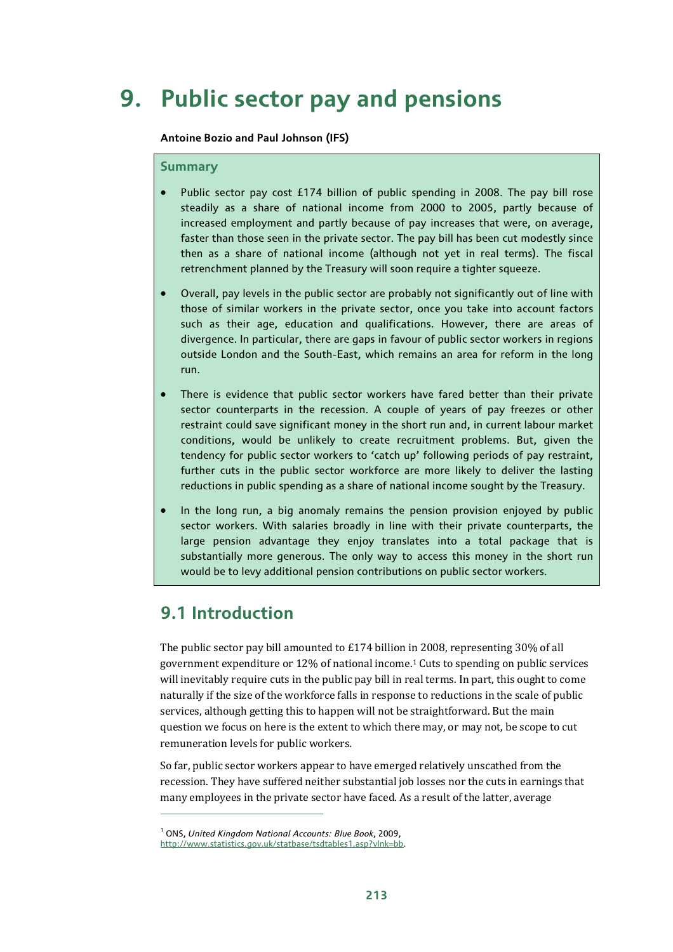# **9. Public sector pay and pensions**

**Antoine Bozio and Paul Johnson (IFS)** 

#### **Summary**

- Public sector pay cost £174 billion of public spending in 2008. The pay bill rose steadily as a share of national income from 2000 to 2005, partly because of increased employment and partly because of pay increases that were, on average, faster than those seen in the private sector. The pay bill has been cut modestly since then as a share of national income (although not yet in real terms). The fiscal retrenchment planned by the Treasury will soon require a tighter squeeze.
- Overall, pay levels in the public sector are probably not significantly out of line with those of similar workers in the private sector, once you take into account factors such as their age, education and qualifications. However, there are areas of divergence. In particular, there are gaps in favour of public sector workers in regions outside London and the South-East, which remains an area for reform in the long run.
- There is evidence that public sector workers have fared better than their private sector counterparts in the recession. A couple of years of pay freezes or other restraint could save significant money in the short run and, in current labour market conditions, would be unlikely to create recruitment problems. But, given the tendency for public sector workers to 'catch up' following periods of pay restraint, further cuts in the public sector workforce are more likely to deliver the lasting reductions in public spending as a share of national income sought by the Treasury.
- In the long run, a big anomaly remains the pension provision enjoyed by public sector workers. With salaries broadly in line with their private counterparts, the large pension advantage they enjoy translates into a total package that is substantially more generous. The only way to access this money in the short run would be to levy additional pension contributions on public sector workers.

## **9.1 Introduction**

 $\overline{a}$ 

The public sector pay bill amounted to £174 billion in 2008, representing 30% of all government expenditure or 12% of national income.1 Cuts to spending on public services will inevitably require cuts in the public pay bill in real terms. In part, this ought to come naturally if the size of the workforce falls in response to reductions in the scale of public services, although getting this to happen will not be straightforward. But the main question we focus on here is the extent to which there may, or may not, be scope to cut remuneration levels for public workers.

So far, public sector workers appear to have emerged relatively unscathed from the recession. They have suffered neither substantial job losses nor the cuts in earnings that many employees in the private sector have faced. As a result of the latter, average

<sup>1</sup> ONS, *United Kingdom National Accounts: Blue Book*, 2009,

http://www.statistics.gov.uk/statbase/tsdtables1.asp?vlnk=bb.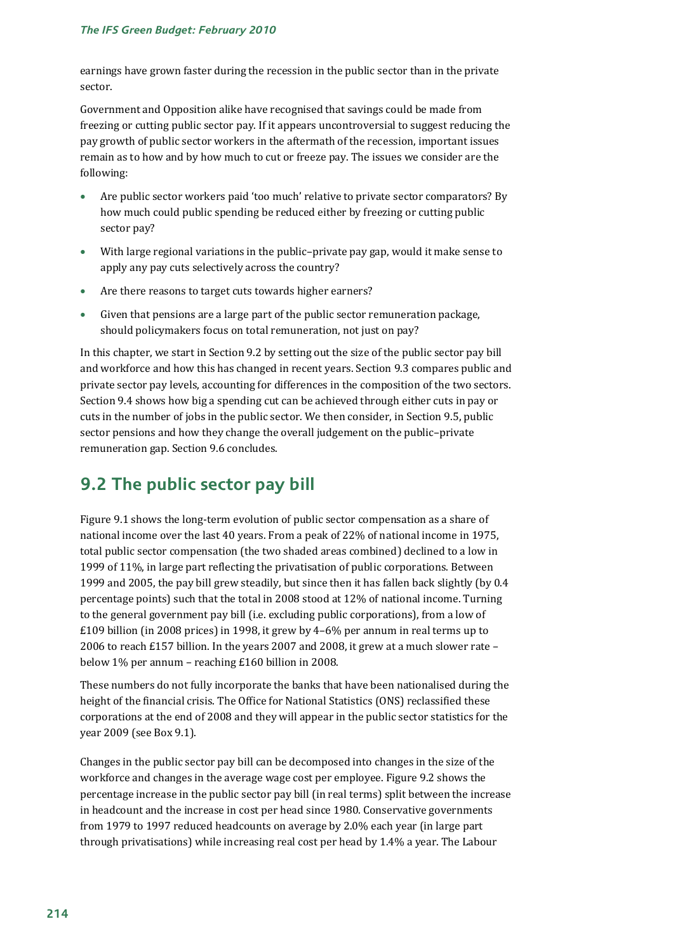earnings have grown faster during the recession in the public sector than in the private sector.

Government and Opposition alike have recognised that savings could be made from freezing or cutting public sector pay. If it appears uncontroversial to suggest reducing the pay growth of public sector workers in the aftermath of the recession, important issues remain as to how and by how much to cut or freeze pay. The issues we consider are the following:

- Are public sector workers paid 'too much' relative to private sector comparators? By how much could public spending be reduced either by freezing or cutting public sector pay?
- With large regional variations in the public–private pay gap, would it make sense to apply any pay cuts selectively across the country?
- Are there reasons to target cuts towards higher earners?
- Given that pensions are a large part of the public sector remuneration package, should policymakers focus on total remuneration, not just on pay?

In this chapter, we start in Section 9.2 by setting out the size of the public sector pay bill and workforce and how this has changed in recent years. Section 9.3 compares public and private sector pay levels, accounting for differences in the composition of the two sectors. Section 9.4 shows how big a spending cut can be achieved through either cuts in pay or cuts in the number of jobs in the public sector. We then consider, in Section 9.5, public sector pensions and how they change the overall judgement on the public–private remuneration gap. Section 9.6 concludes.

## **9.2 The public sector pay bill**

Figure 9.1 shows the long-term evolution of public sector compensation as a share of national income over the last 40 years. From a peak of 22% of national income in 1975, total public sector compensation (the two shaded areas combined) declined to a low in 1999 of 11%, in large part reflecting the privatisation of public corporations. Between 1999 and 2005, the pay bill grew steadily, but since then it has fallen back slightly (by 0.4 percentage points) such that the total in 2008 stood at 12% of national income. Turning to the general government pay bill (i.e. excluding public corporations), from a low of £109 billion (in 2008 prices) in 1998, it grew by 4–6% per annum in real terms up to 2006 to reach £157 billion. In the years 2007 and 2008, it grew at a much slower rate – below 1% per annum – reaching £160 billion in 2008.

These numbers do not fully incorporate the banks that have been nationalised during the height of the financial crisis. The Office for National Statistics (ONS) reclassified these corporations at the end of 2008 and they will appear in the public sector statistics for the year 2009 (see Box 9.1).

Changes in the public sector pay bill can be decomposed into changes in the size of the workforce and changes in the average wage cost per employee. Figure 9.2 shows the percentage increase in the public sector pay bill (in real terms) split between the increase in headcount and the increase in cost per head since 1980. Conservative governments from 1979 to 1997 reduced headcounts on average by 2.0% each year (in large part through privatisations) while increasing real cost per head by 1.4% a year. The Labour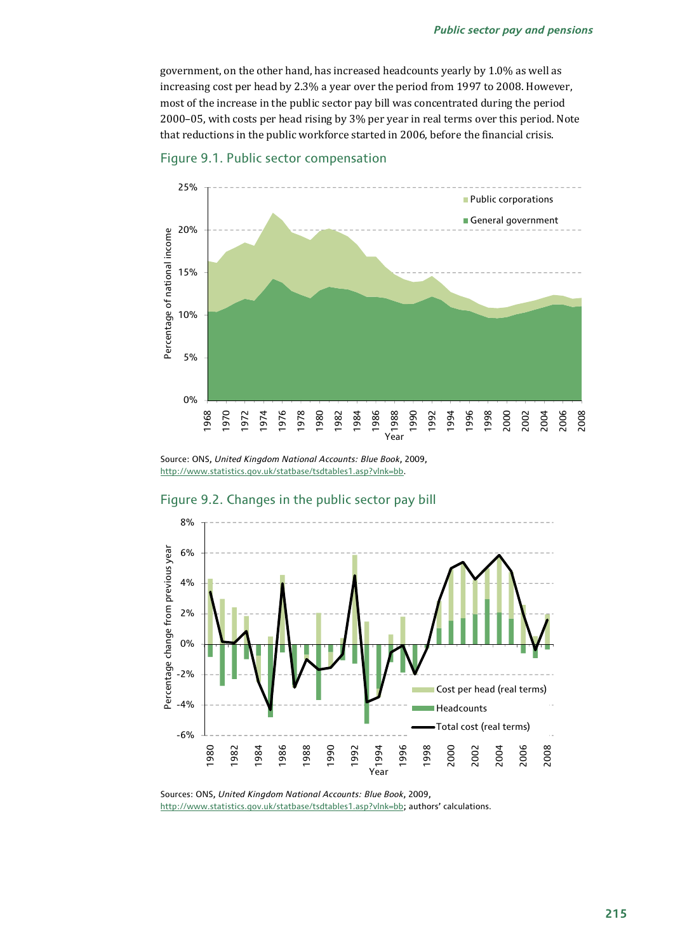government, on the other hand, has increased headcounts yearly by 1.0% as well as increasing cost per head by 2.3% a year over the period from 1997 to 2008. However, most of the increase in the public sector pay bill was concentrated during the period 2000–05, with costs per head rising by 3% per year in real terms over this period. Note that reductions in the public workforce started in 2006, before the financial crisis.





Source: ONS, *United Kingdom National Accounts: Blue Book*, 2009, http://www.statistics.gov.uk/statbase/tsdtables1.asp?vlnk=bb.



### Figure 9.2. Changes in the public sector pay bill

Sources: ONS, *United Kingdom National Accounts: Blue Book*, 2009, http://www.statistics.gov.uk/statbase/tsdtables1.asp?vlnk=bb; authors' calculations.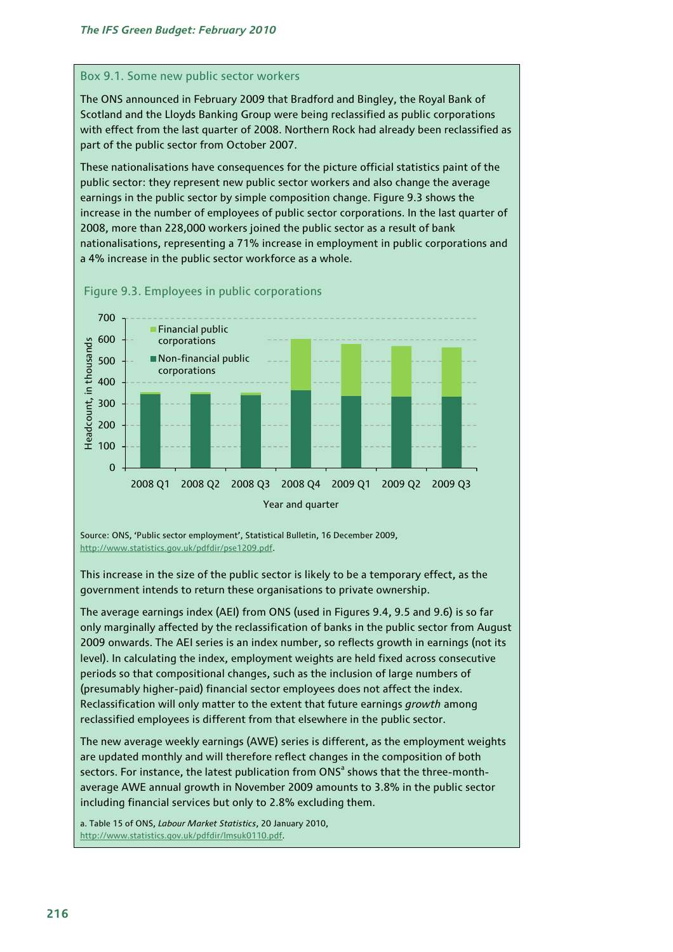#### Box 9.1. Some new public sector workers

The ONS announced in February 2009 that Bradford and Bingley, the Royal Bank of Scotland and the Lloyds Banking Group were being reclassified as public corporations with effect from the last quarter of 2008. Northern Rock had already been reclassified as part of the public sector from October 2007.

These nationalisations have consequences for the picture official statistics paint of the public sector: they represent new public sector workers and also change the average earnings in the public sector by simple composition change. Figure 9.3 shows the increase in the number of employees of public sector corporations. In the last quarter of 2008, more than 228,000 workers joined the public sector as a result of bank nationalisations, representing a 71% increase in employment in public corporations and a 4% increase in the public sector workforce as a whole.



Figure 9.3. Employees in public corporations

Source: ONS, 'Public sector employment', Statistical Bulletin, 16 December 2009, http://www.statistics.gov.uk/pdfdir/pse1209.pdf.

This increase in the size of the public sector is likely to be a temporary effect, as the government intends to return these organisations to private ownership.

The average earnings index (AEI) from ONS (used in Figures 9.4, 9.5 and 9.6) is so far only marginally affected by the reclassification of banks in the public sector from August 2009 onwards. The AEI series is an index number, so reflects growth in earnings (not its level). In calculating the index, employment weights are held fixed across consecutive periods so that compositional changes, such as the inclusion of large numbers of (presumably higher-paid) financial sector employees does not affect the index. Reclassification will only matter to the extent that future earnings *growth* among reclassified employees is different from that elsewhere in the public sector.

The new average weekly earnings (AWE) series is different, as the employment weights are updated monthly and will therefore reflect changes in the composition of both sectors. For instance, the latest publication from  $\mathsf{ONS}^{\mathsf{a}}$  shows that the three-monthaverage AWE annual growth in November 2009 amounts to 3.8% in the public sector including financial services but only to 2.8% excluding them.

a. Table 15 of ONS, *Labour Market Statistics*, 20 January 2010, http://www.statistics.gov.uk/pdfdir/lmsuk0110.pdf.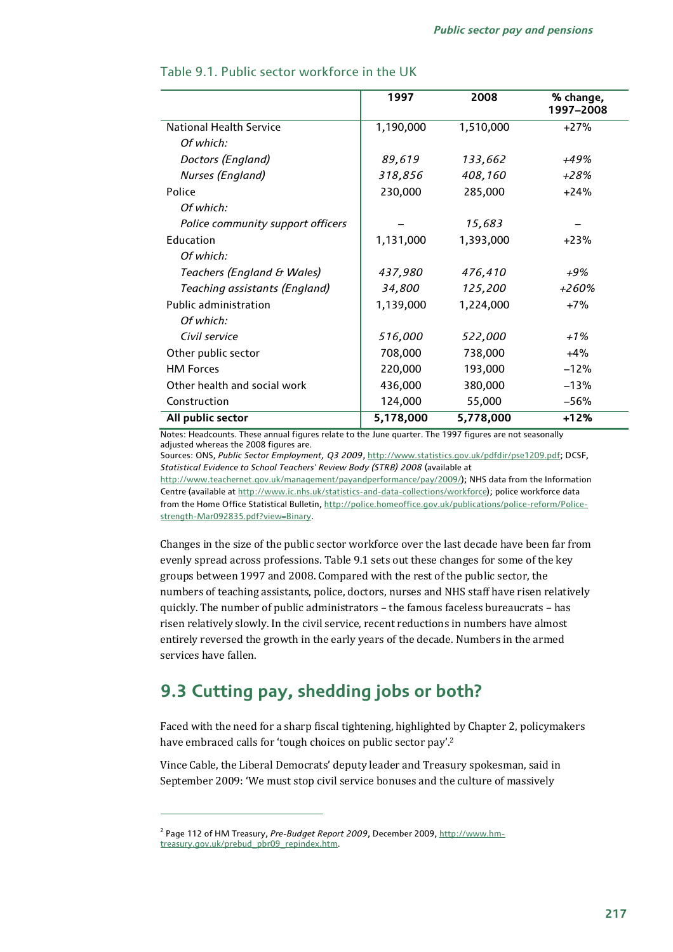|                                   | 1997      | 2008      | % change,<br>1997-2008 |
|-----------------------------------|-----------|-----------|------------------------|
| <b>National Health Service</b>    | 1,190,000 | 1,510,000 | $+27%$                 |
| Of which:                         |           |           |                        |
| Doctors (England)                 | 89,619    | 133,662   | $+49%$                 |
| Nurses (England)                  | 318,856   | 408,160   | $+28%$                 |
| Police                            | 230,000   | 285,000   | $+24%$                 |
| Of which:                         |           |           |                        |
| Police community support officers |           | 15,683    |                        |
| Education                         | 1,131,000 | 1,393,000 | $+23%$                 |
| Of which:                         |           |           |                        |
| Teachers (England & Wales)        | 437,980   | 476,410   | +9%                    |
| Teaching assistants (England)     | 34,800    | 125,200   | +260%                  |
| <b>Public administration</b>      | 1,139,000 | 1,224,000 | $+7%$                  |
| Of which:                         |           |           |                        |
| Civil service                     | 516,000   | 522,000   | $+1\%$                 |
| Other public sector               | 708,000   | 738,000   | $+4%$                  |
| <b>HM Forces</b>                  | 220,000   | 193,000   | $-12%$                 |
| Other health and social work      | 436,000   | 380,000   | $-13%$                 |
| Construction                      | 124,000   | 55,000    | $-56%$                 |
| All public sector                 | 5,178,000 | 5,778,000 | $+12%$                 |

## Table 9.1. Public sector workforce in the UK

Notes: Headcounts. These annual figures relate to the June quarter. The 1997 figures are not seasonally adjusted whereas the 2008 figures are.

Sources: ONS, *Public Sector Employment, Q3 2009*, http://www.statistics.gov.uk/pdfdir/pse1209.pdf; DCSF, *Statistical Evidence to School Teachers' Review Body (STRB) 2008* (available at

http://www.teachernet.gov.uk/management/payandperformance/pay/2009/); NHS data from the Information Centre (available at http://www.ic.nhs.uk/statistics-and-data-collections/workforce); police workforce data from the Home Office Statistical Bulletin, http://police.homeoffice.gov.uk/publications/police-reform/Policestrength-Mar092835.pdf?view=Binary.

Changes in the size of the public sector workforce over the last decade have been far from evenly spread across professions. Table 9.1 sets out these changes for some of the key groups between 1997 and 2008. Compared with the rest of the public sector, the numbers of teaching assistants, police, doctors, nurses and NHS staff have risen relatively quickly. The number of public administrators – the famous faceless bureaucrats – has risen relatively slowly. In the civil service, recent reductions in numbers have almost entirely reversed the growth in the early years of the decade. Numbers in the armed services have fallen.

## **9.3 Cutting pay, shedding jobs or both?**

Faced with the need for a sharp fiscal tightening, highlighted by Chapter 2, policymakers have embraced calls for 'tough choices on public sector pay'.<sup>2</sup>

Vince Cable, the Liberal Democrats' deputy leader and Treasury spokesman, said in September 2009: 'We must stop civil service bonuses and the culture of massively

<sup>&</sup>lt;sup>2</sup> Page 112 of HM Treasury, *Pre-Budget Report 2009*, December 2009, <u>http://www.hm-</u> treasury.gov.uk/prebud\_pbr09\_repindex.htm.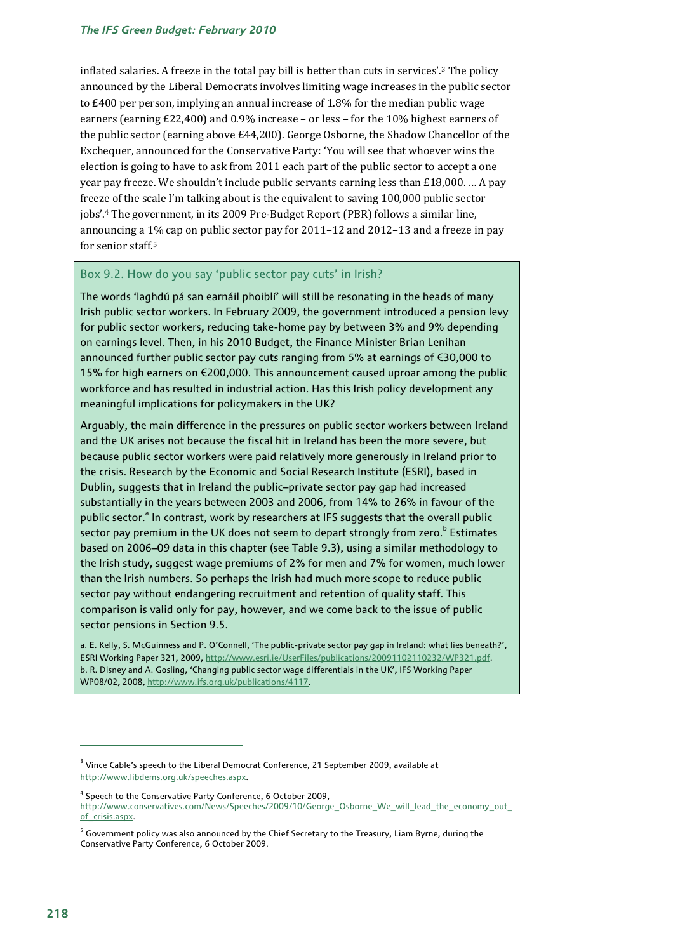#### *The IFS Green Budget: February 2010*

inflated salaries. A freeze in the total pay bill is better than cuts in services'.3 The policy announced by the Liberal Democrats involves limiting wage increases in the public sector to £400 per person, implying an annual increase of 1.8% for the median public wage earners (earning £22,400) and 0.9% increase – or less – for the 10% highest earners of the public sector (earning above £44,200). George Osborne, the Shadow Chancellor of the Exchequer, announced for the Conservative Party: 'You will see that whoever wins the election is going to have to ask from 2011 each part of the public sector to accept a one year pay freeze. We shouldn't include public servants earning less than £18,000. … A pay freeze of the scale I'm talking about is the equivalent to saving 100,000 public sector jobs'.4 The government, in its 2009 Pre-Budget Report (PBR) follows a similar line, announcing a 1% cap on public sector pay for 2011–12 and 2012–13 and a freeze in pay for senior staff.5

#### Box 9.2. How do you say 'public sector pay cuts' in Irish?

The words 'laghdú pá san earnáil phoiblí' will still be resonating in the heads of many Irish public sector workers. In February 2009, the government introduced a pension levy for public sector workers, reducing take-home pay by between 3% and 9% depending on earnings level. Then, in his 2010 Budget, the Finance Minister Brian Lenihan announced further public sector pay cuts ranging from 5% at earnings of €30,000 to 15% for high earners on €200,000. This announcement caused uproar among the public workforce and has resulted in industrial action. Has this Irish policy development any meaningful implications for policymakers in the UK?

Arguably, the main difference in the pressures on public sector workers between Ireland and the UK arises not because the fiscal hit in Ireland has been the more severe, but because public sector workers were paid relatively more generously in Ireland prior to the crisis. Research by the Economic and Social Research Institute (ESRI), based in Dublin, suggests that in Ireland the public–private sector pay gap had increased substantially in the years between 2003 and 2006, from 14% to 26% in favour of the public sector.<sup>a</sup> In contrast, work by researchers at IFS suggests that the overall public sector pay premium in the UK does not seem to depart strongly from zero.<sup>b</sup> Estimates based on 2006–09 data in this chapter (see Table 9.3), using a similar methodology to the Irish study, suggest wage premiums of 2% for men and 7% for women, much lower than the Irish numbers. So perhaps the Irish had much more scope to reduce public sector pay without endangering recruitment and retention of quality staff. This comparison is valid only for pay, however, and we come back to the issue of public sector pensions in Section 9.5.

a. E. Kelly, S. McGuinness and P. O'Connell, 'The public-private sector pay gap in Ireland: what lies beneath?', ESRI Working Paper 321, 2009, http://www.esri.ie/UserFiles/publications/20091102110232/WP321.pdf. b. R. Disney and A. Gosling, 'Changing public sector wage differentials in the UK', IFS Working Paper WP08/02, 2008, http://www.ifs.org.uk/publications/4117.

<sup>4</sup> Speech to the Conservative Party Conference, 6 October 2009,

 $^3$  Vince Cable's speech to the Liberal Democrat Conference, 21 September 2009, available at http://www.libdems.org.uk/speeches.aspx.

http://www.conservatives.com/News/Speeches/2009/10/George\_Osborne\_We\_will\_lead\_the\_economy\_out\_ of\_crisis.aspx.

 $^5$  Government policy was also announced by the Chief Secretary to the Treasury, Liam Byrne, during the  $\,$ Conservative Party Conference, 6 October 2009.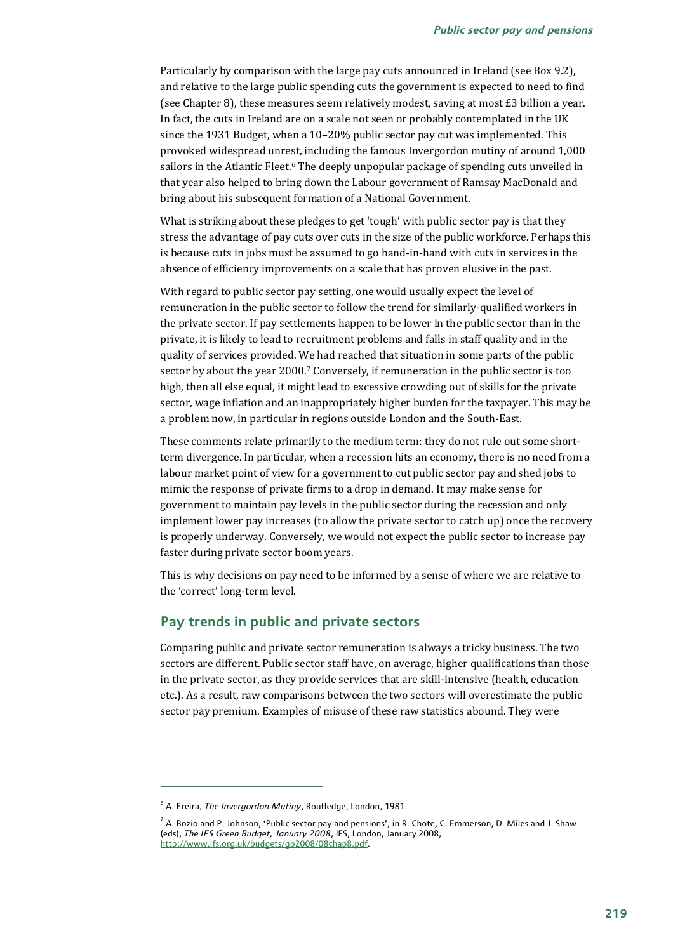Particularly by comparison with the large pay cuts announced in Ireland (see Box 9.2), and relative to the large public spending cuts the government is expected to need to find (see Chapter 8), these measures seem relatively modest, saving at most £3 billion a year. In fact, the cuts in Ireland are on a scale not seen or probably contemplated in the UK since the 1931 Budget, when a 10–20% public sector pay cut was implemented. This provoked widespread unrest, including the famous Invergordon mutiny of around 1,000 sailors in the Atlantic Fleet.<sup>6</sup> The deeply unpopular package of spending cuts unveiled in that year also helped to bring down the Labour government of Ramsay MacDonald and bring about his subsequent formation of a National Government.

What is striking about these pledges to get 'tough' with public sector pay is that they stress the advantage of pay cuts over cuts in the size of the public workforce. Perhaps this is because cuts in jobs must be assumed to go hand-in-hand with cuts in services in the absence of efficiency improvements on a scale that has proven elusive in the past.

With regard to public sector pay setting, one would usually expect the level of remuneration in the public sector to follow the trend for similarly-qualified workers in the private sector. If pay settlements happen to be lower in the public sector than in the private, it is likely to lead to recruitment problems and falls in staff quality and in the quality of services provided. We had reached that situation in some parts of the public sector by about the year 2000.7 Conversely, if remuneration in the public sector is too high, then all else equal, it might lead to excessive crowding out of skills for the private sector, wage inflation and an inappropriately higher burden for the taxpayer. This may be a problem now, in particular in regions outside London and the South-East.

These comments relate primarily to the medium term: they do not rule out some shortterm divergence. In particular, when a recession hits an economy, there is no need from a labour market point of view for a government to cut public sector pay and shed jobs to mimic the response of private firms to a drop in demand. It may make sense for government to maintain pay levels in the public sector during the recession and only implement lower pay increases (to allow the private sector to catch up) once the recovery is properly underway. Conversely, we would not expect the public sector to increase pay faster during private sector boom years.

This is why decisions on pay need to be informed by a sense of where we are relative to the 'correct' long-term level.

## **Pay trends in public and private sectors**

Comparing public and private sector remuneration is always a tricky business. The two sectors are different. Public sector staff have, on average, higher qualifications than those in the private sector, as they provide services that are skill-intensive (health, education etc.). As a result, raw comparisons between the two sectors will overestimate the public sector pay premium. Examples of misuse of these raw statistics abound. They were

<sup>6</sup> A. Ereira, *The Invergordon Mutiny*, Routledge, London, 1981.

 $^7$  A. Bozio and P. Johnson, 'Public sector pay and pensions', in R. Chote, C. Emmerson, D. Miles and J. Shaw (eds), *The IFS Green Budget, January 2008*, IFS, London, January 2008, http://www.ifs.org.uk/budgets/gb2008/08chap8.pdf.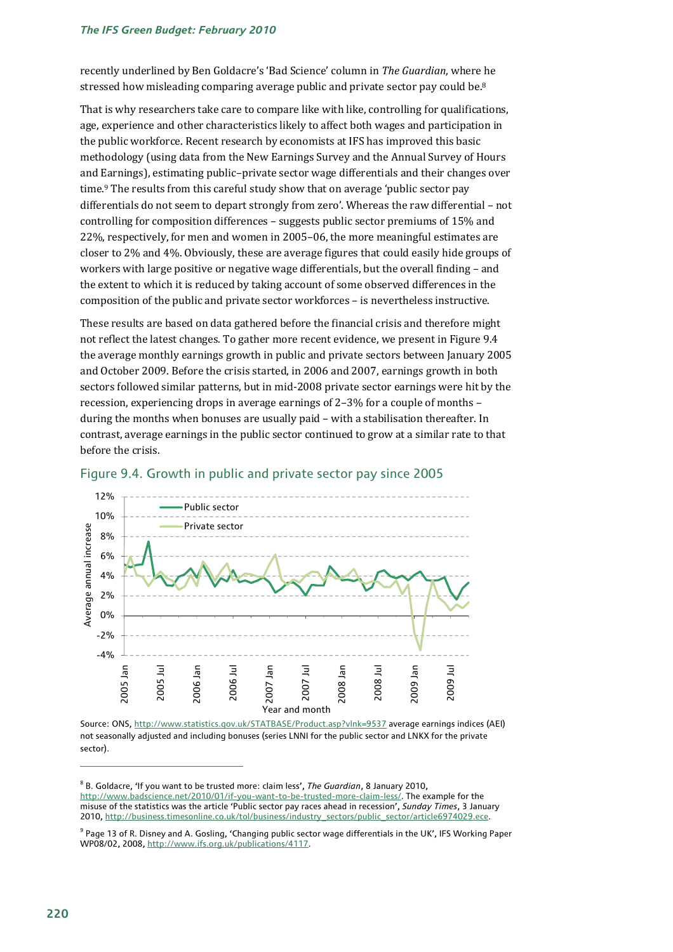#### *The IFS Green Budget: February 2010*

recently underlined by Ben Goldacre's 'Bad Science' column in *The Guardian*, where he stressed how misleading comparing average public and private sector pay could be.<sup>8</sup>

That is why researchers take care to compare like with like, controlling for qualifications, age, experience and other characteristics likely to affect both wages and participation in the public workforce. Recent research by economists at IFS has improved this basic methodology (using data from the New Earnings Survey and the Annual Survey of Hours and Earnings), estimating public–private sector wage differentials and their changes over time.9 The results from this careful study show that on average 'public sector pay differentials do not seem to depart strongly from zero'. Whereas the raw differential – not controlling for composition differences – suggests public sector premiums of 15% and 22%, respectively, for men and women in 2005–06, the more meaningful estimates are closer to 2% and 4%. Obviously, these are average figures that could easily hide groups of workers with large positive or negative wage differentials, but the overall finding – and the extent to which it is reduced by taking account of some observed differences in the composition of the public and private sector workforces – is nevertheless instructive.

These results are based on data gathered before the financial crisis and therefore might not reflect the latest changes. To gather more recent evidence, we present in Figure 9.4 the average monthly earnings growth in public and private sectors between January 2005 and October 2009. Before the crisis started, in 2006 and 2007, earnings growth in both sectors followed similar patterns, but in mid-2008 private sector earnings were hit by the recession, experiencing drops in average earnings of 2–3% for a couple of months – during the months when bonuses are usually paid – with a stabilisation thereafter. In contrast, average earnings in the public sector continued to grow at a similar rate to that before the crisis.



### Figure 9.4. Growth in public and private sector pay since 2005

Source: ONS, http://www.statistics.gov.uk/STATBASE/Product.asp?vlnk=9537 average earnings indices (AEI) not seasonally adjusted and including bonuses (series LNNI for the public sector and LNKX for the private sector).

<sup>8</sup> B. Goldacre, 'If you want to be trusted more: claim less', *The Guardian*, 8 January 2010, http://www.badscience.net/2010/01/if-you-want-to-be-trusted-more-claim-less/. The example for the misuse of the statistics was the article 'Public sector pay races ahead in recession', *Sunday Times*, 3 January 2010, http://business.timesonline.co.uk/tol/business/industry\_sectors/public\_sector/article6974029.ece.

<sup>&</sup>lt;sup>9</sup> Page 13 of R. Disney and A. Gosling, 'Changing public sector wage differentials in the UK', IFS Working Paper WP08/02, 2008, http://www.ifs.org.uk/publications/4117.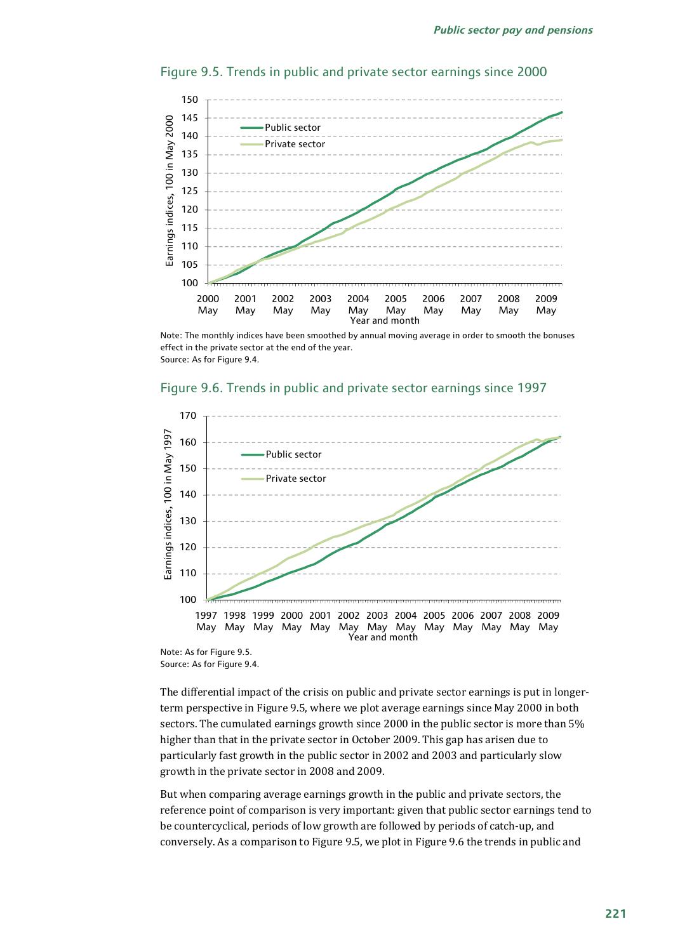

#### Figure 9.5. Trends in public and private sector earnings since 2000

Note: The monthly indices have been smoothed by annual moving average in order to smooth the bonuses effect in the private sector at the end of the year. Source: As for Figure 9.4.

### 170 Earnings indices, 100 in May 1997 Earnings indices, 100 in May 1997 160 Public sector 150 Private sector140 130 120 110 100 1997 1998 1999 2000 2001 2002 2003 2004 2005 2006 2007 2008 2009 May May May May May May May May May May May May May Year and month

#### Figure 9.6. Trends in public and private sector earnings since 1997

Note: As for Figure 9.5. Source: As for Figure 9.4.

The differential impact of the crisis on public and private sector earnings is put in longerterm perspective in Figure 9.5, where we plot average earnings since May 2000 in both sectors. The cumulated earnings growth since 2000 in the public sector is more than 5% higher than that in the private sector in October 2009. This gap has arisen due to particularly fast growth in the public sector in 2002 and 2003 and particularly slow growth in the private sector in 2008 and 2009.

But when comparing average earnings growth in the public and private sectors, the reference point of comparison is very important: given that public sector earnings tend to be countercyclical, periods of low growth are followed by periods of catch-up, and conversely. As a comparison to Figure 9.5, we plot in Figure 9.6 the trends in public and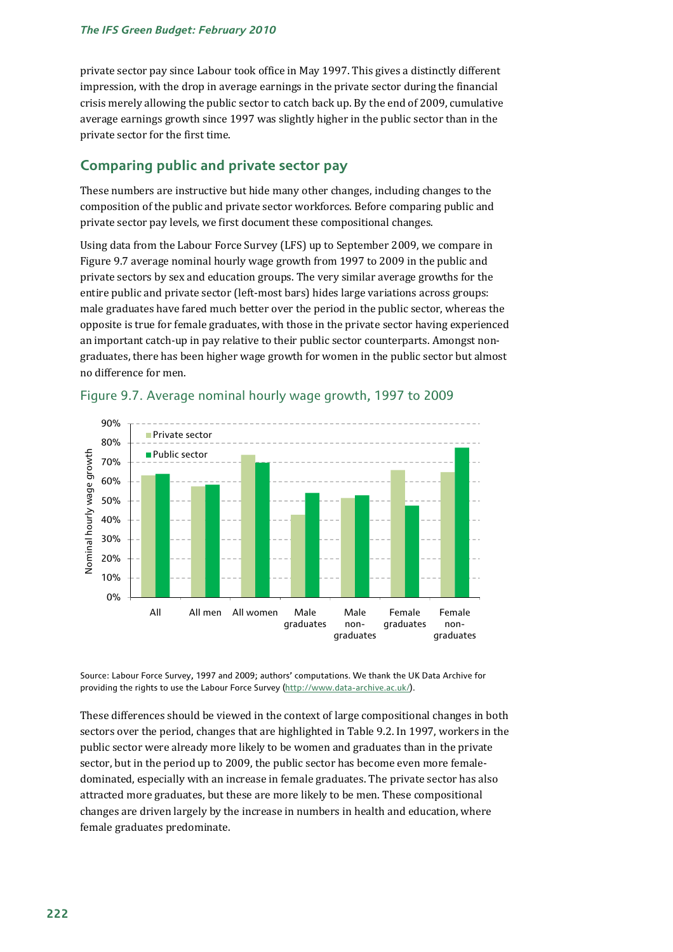private sector pay since Labour took office in May 1997. This gives a distinctly different impression, with the drop in average earnings in the private sector during the financial crisis merely allowing the public sector to catch back up. By the end of 2009, cumulative average earnings growth since 1997 was slightly higher in the public sector than in the private sector for the first time.

## **Comparing public and private sector pay**

These numbers are instructive but hide many other changes, including changes to the composition of the public and private sector workforces. Before comparing public and private sector pay levels, we first document these compositional changes.

Using data from the Labour Force Survey (LFS) up to September 2009, we compare in Figure 9.7 average nominal hourly wage growth from 1997 to 2009 in the public and private sectors by sex and education groups. The very similar average growths for the entire public and private sector (left-most bars) hides large variations across groups: male graduates have fared much better over the period in the public sector, whereas the opposite is true for female graduates, with those in the private sector having experienced an important catch-up in pay relative to their public sector counterparts. Amongst nongraduates, there has been higher wage growth for women in the public sector but almost no difference for men.



## Figure 9.7. Average nominal hourly wage growth, 1997 to 2009

Source: Labour Force Survey, 1997 and 2009; authors' computations. We thank the UK Data Archive for providing the rights to use the Labour Force Survey (http://www.data-archive.ac.uk/).

These differences should be viewed in the context of large compositional changes in both sectors over the period, changes that are highlighted in Table 9.2. In 1997, workers in the public sector were already more likely to be women and graduates than in the private sector, but in the period up to 2009, the public sector has become even more femaledominated, especially with an increase in female graduates. The private sector has also attracted more graduates, but these are more likely to be men. These compositional changes are driven largely by the increase in numbers in health and education, where female graduates predominate.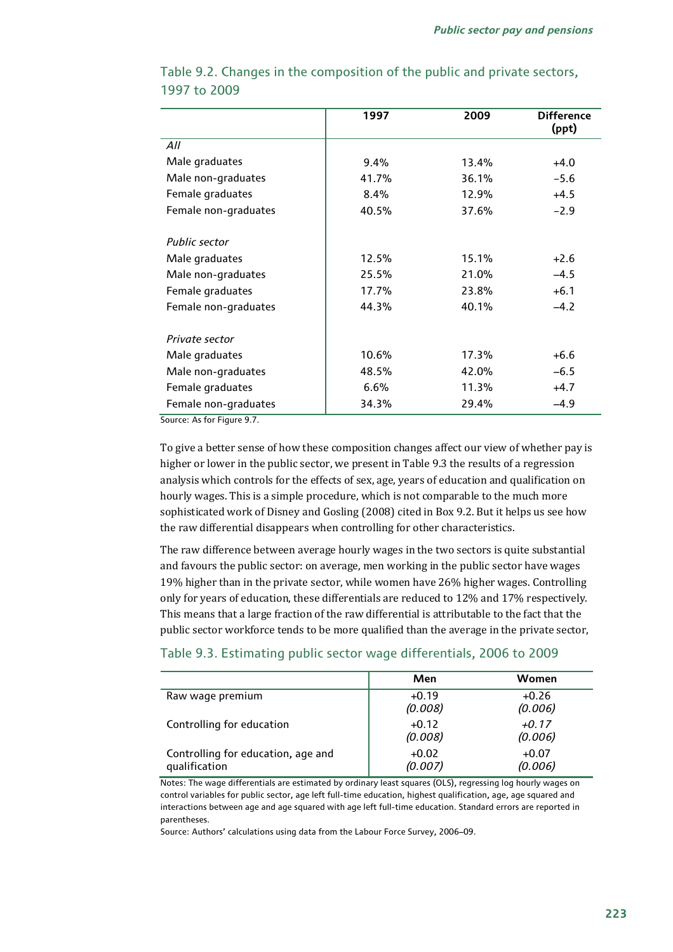|                      | 1997  | 2009  | <b>Difference</b><br>(ppt) |
|----------------------|-------|-------|----------------------------|
| All                  |       |       |                            |
| Male graduates       | 9.4%  | 13.4% | $+4.0$                     |
| Male non-graduates   | 41.7% | 36.1% | $-5.6$                     |
| Female graduates     | 8.4%  | 12.9% | $+4.5$                     |
| Female non-graduates | 40.5% |       | $-2.9$                     |
| Public sector        |       |       |                            |
| Male graduates       | 12.5% | 15.1% | $+2.6$                     |
| Male non-graduates   | 25.5% | 21.0% | $-4.5$                     |
| Female graduates     | 17.7% | 23.8% | $+6.1$                     |
| Female non-graduates | 44.3% | 40.1% | $-4.2$                     |
| Private sector       |       |       |                            |
| Male graduates       | 10.6% | 17.3% | $+6.6$                     |
| Male non-graduates   | 48.5% | 42.0% | $-6.5$                     |
| Female graduates     | 6.6%  | 11.3% | $+4.7$                     |
| Female non-graduates | 34.3% | 29.4% | $-4.9$                     |

## Table 9.2. Changes in the composition of the public and private sectors, 1997 to 2009

Source: As for Figure 9.7.

To give a better sense of how these composition changes affect our view of whether pay is higher or lower in the public sector, we present in Table 9.3 the results of a regression analysis which controls for the effects of sex, age, years of education and qualification on hourly wages. This is a simple procedure, which is not comparable to the much more sophisticated work of Disney and Gosling (2008) cited in Box 9.2. But it helps us see how the raw differential disappears when controlling for other characteristics.

The raw difference between average hourly wages in the two sectors is quite substantial and favours the public sector: on average, men working in the public sector have wages 19% higher than in the private sector, while women have 26% higher wages. Controlling only for years of education, these differentials are reduced to 12% and 17% respectively. This means that a large fraction of the raw differential is attributable to the fact that the public sector workforce tends to be more qualified than the average in the private sector,

|                                                     | Men                | Women              |
|-----------------------------------------------------|--------------------|--------------------|
| Raw wage premium                                    | $+0.19$<br>(0.008) | $+0.26$<br>(0.006) |
| Controlling for education                           | $+0.12$<br>(0.008) | $+0.17$<br>(0.006) |
| Controlling for education, age and<br>qualification | $+0.02$<br>(0.007) | $+0.07$<br>(0.006) |

## Table 9.3. Estimating public sector wage differentials, 2006 to 2009

Notes: The wage differentials are estimated by ordinary least squares (OLS), regressing log hourly wages on control variables for public sector, age left full-time education, highest qualification, age, age squared and interactions between age and age squared with age left full-time education. Standard errors are reported in parentheses.

Source: Authors' calculations using data from the Labour Force Survey, 2006–09.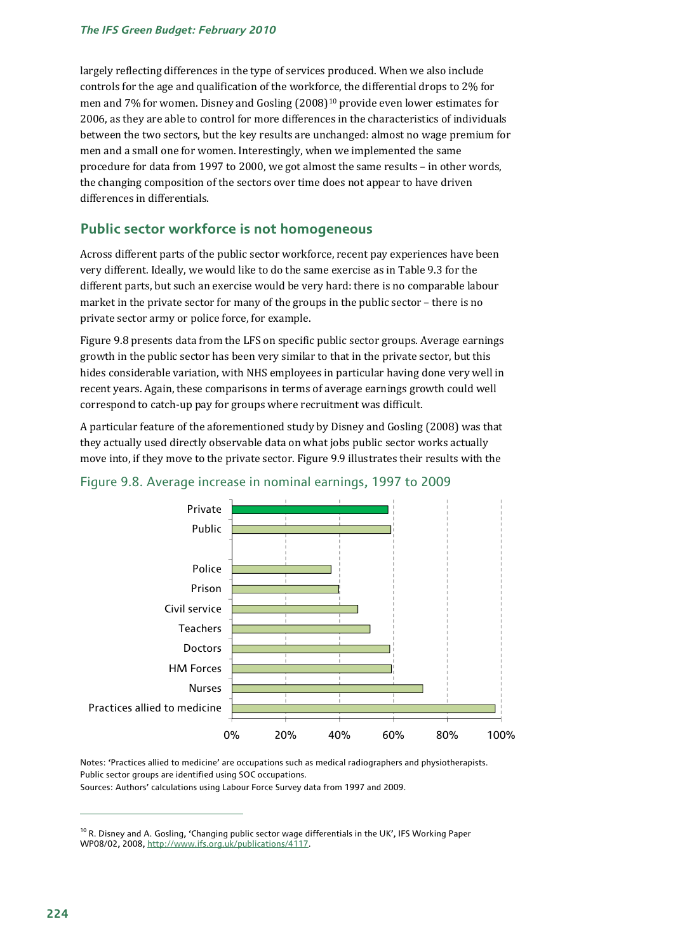largely reflecting differences in the type of services produced. When we also include controls for the age and qualification of the workforce, the differential drops to 2% for men and 7% for women. Disney and Gosling (2008)10 provide even lower estimates for 2006, as they are able to control for more differences in the characteristics of individuals between the two sectors, but the key results are unchanged: almost no wage premium for men and a small one for women. Interestingly, when we implemented the same procedure for data from 1997 to 2000, we got almost the same results – in other words, the changing composition of the sectors over time does not appear to have driven differences in differentials.

## **Public sector workforce is not homogeneous**

Across different parts of the public sector workforce, recent pay experiences have been very different. Ideally, we would like to do the same exercise as in Table 9.3 for the different parts, but such an exercise would be very hard: there is no comparable labour market in the private sector for many of the groups in the public sector – there is no private sector army or police force, for example.

Figure 9.8 presents data from the LFS on specific public sector groups. Average earnings growth in the public sector has been very similar to that in the private sector, but this hides considerable variation, with NHS employees in particular having done very well in recent years. Again, these comparisons in terms of average earnings growth could well correspond to catch-up pay for groups where recruitment was difficult.

A particular feature of the aforementioned study by Disney and Gosling (2008) was that they actually used directly observable data on what jobs public sector works actually move into, if they move to the private sector. Figure 9.9 illustrates their results with the





Notes: 'Practices allied to medicine' are occupations such as medical radiographers and physiotherapists. Public sector groups are identified using SOC occupations.

Sources: Authors' calculations using Labour Force Survey data from 1997 and 2009.

 $10$  R. Disney and A. Gosling, 'Changing public sector wage differentials in the UK', IFS Working Paper WP08/02, 2008, http://www.ifs.org.uk/publications/4117.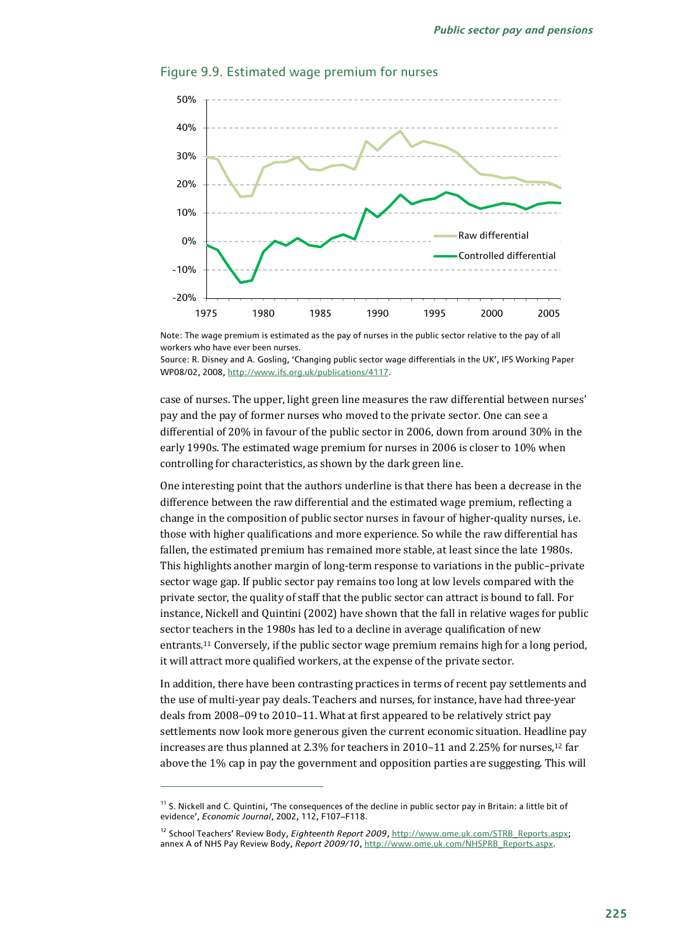

#### Figure 9.9. Estimated wage premium for nurses

Note: The wage premium is estimated as the pay of nurses in the public sector relative to the pay of all workers who have ever been nurses.

Source: R. Disney and A. Gosling, 'Changing public sector wage differentials in the UK', IFS Working Paper WP08/02, 2008, http://www.ifs.org.uk/publications/4117.

case of nurses. The upper, light green line measures the raw differential between nurses' pay and the pay of former nurses who moved to the private sector. One can see a differential of 20% in favour of the public sector in 2006, down from around 30% in the early 1990s. The estimated wage premium for nurses in 2006 is closer to 10% when controlling for characteristics, as shown by the dark green line.

One interesting point that the authors underline is that there has been a decrease in the difference between the raw differential and the estimated wage premium, reflecting a change in the composition of public sector nurses in favour of higher-quality nurses, i.e. those with higher qualifications and more experience. So while the raw differential has fallen, the estimated premium has remained more stable, at least since the late 1980s. This highlights another margin of long-term response to variations in the public–private sector wage gap. If public sector pay remains too long at low levels compared with the private sector, the quality of staff that the public sector can attract is bound to fall. For instance, Nickell and Quintini (2002) have shown that the fall in relative wages for public sector teachers in the 1980s has led to a decline in average qualification of new entrants.11 Conversely, if the public sector wage premium remains high for a long period, it will attract more qualified workers, at the expense of the private sector.

In addition, there have been contrasting practices in terms of recent pay settlements and the use of multi-year pay deals. Teachers and nurses, for instance, have had three-year deals from 2008–09 to 2010–11. What at first appeared to be relatively strict pay settlements now look more generous given the current economic situation. Headline pay increases are thus planned at 2.3% for teachers in 2010–11 and 2.25% for nurses,12 far above the 1% cap in pay the government and opposition parties are suggesting. This will

 $11$  S. Nickell and C. Quintini, 'The consequences of the decline in public sector pay in Britain: a little bit of evidence', *Economic Journal*, 2002, 112, F107–F118.

<sup>12</sup> School Teachers' Review Body, *Eighteenth Report 2009*, http://www.ome.uk.com/STRB\_Reports.aspx; annex A of NHS Pay Review Body, *Report 2009/10*, http://www.ome.uk.com/NHSPRB\_Reports.aspx.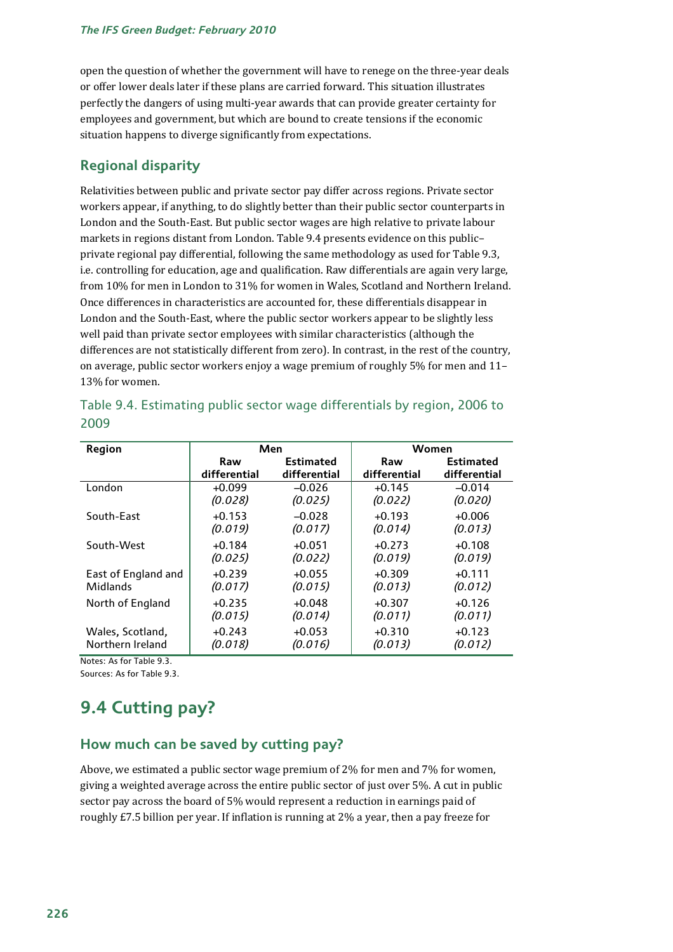open the question of whether the government will have to renege on the three-year deals or offer lower deals later if these plans are carried forward. This situation illustrates perfectly the dangers of using multi-year awards that can provide greater certainty for employees and government, but which are bound to create tensions if the economic situation happens to diverge significantly from expectations.

## **Regional disparity**

Relativities between public and private sector pay differ across regions. Private sector workers appear, if anything, to do slightly better than their public sector counterparts in London and the South-East. But public sector wages are high relative to private labour markets in regions distant from London. Table 9.4 presents evidence on this public– private regional pay differential, following the same methodology as used for Table 9.3, i.e. controlling for education, age and qualification. Raw differentials are again very large, from 10% for men in London to 31% for women in Wales, Scotland and Northern Ireland. Once differences in characteristics are accounted for, these differentials disappear in London and the South-East, where the public sector workers appear to be slightly less well paid than private sector employees with similar characteristics (although the differences are not statistically different from zero). In contrast, in the rest of the country, on average, public sector workers enjoy a wage premium of roughly 5% for men and 11– 13% for women.

| Region                                                                                                                                               | Men                 |                     | Women               |                     |  |
|------------------------------------------------------------------------------------------------------------------------------------------------------|---------------------|---------------------|---------------------|---------------------|--|
|                                                                                                                                                      | Raw                 | <b>Estimated</b>    | Raw                 | <b>Estimated</b>    |  |
|                                                                                                                                                      | differential        | differential        | differential        | differential        |  |
| London                                                                                                                                               | $+0.099$            | $-0.026$            | $+0.145$            | $-0.014$            |  |
|                                                                                                                                                      | (0.028)             | (0.025)             | (0.022)             | (0.020)             |  |
| South-East                                                                                                                                           | $+0.153$            | $-0.028$            | $+0.193$            | $+0.006$            |  |
|                                                                                                                                                      | (0.019)             | (0.017)             | (0.014)             | (0.013)             |  |
| South-West                                                                                                                                           | $+0.184$            | $+0.051$            | $+0.273$            | $+0.108$            |  |
|                                                                                                                                                      | (0.025)             | (0.022)             | (0.019)             | (0.019)             |  |
| East of England and                                                                                                                                  | $+0.239$            | $+0.055$            | $+0.309$            | $+0.111$            |  |
| Midlands                                                                                                                                             | (0.017)             | (0.015)             | (0.013)             | (0.012)             |  |
| North of England                                                                                                                                     | $+0.235$            | $+0.048$            | $+0.307$            | $+0.126$            |  |
|                                                                                                                                                      | (0.015)             | (0.014)             | (0.011)             | (0.011)             |  |
| Wales, Scotland,<br>Northern Ireland<br>$M_{\odot}$ is a second of $\mathcal{L}_{\odot}$ of $\mathcal{L}_{\odot}$ . The Lie of $\mathcal{L}_{\odot}$ | $+0.243$<br>(0.018) | $+0.053$<br>(0.016) | $+0.310$<br>(0.013) | $+0.123$<br>(0.012) |  |

|      | Table 9.4. Estimating public sector wage differentials by region, 2006 to |  |  |
|------|---------------------------------------------------------------------------|--|--|
| 2009 |                                                                           |  |  |

Notes: As for Table 9.3. Sources: As for Table 9.3.

## **9.4 Cutting pay?**

## **How much can be saved by cutting pay?**

Above, we estimated a public sector wage premium of 2% for men and 7% for women, giving a weighted average across the entire public sector of just over 5%. A cut in public sector pay across the board of 5% would represent a reduction in earnings paid of roughly £7.5 billion per year. If inflation is running at 2% a year, then a pay freeze for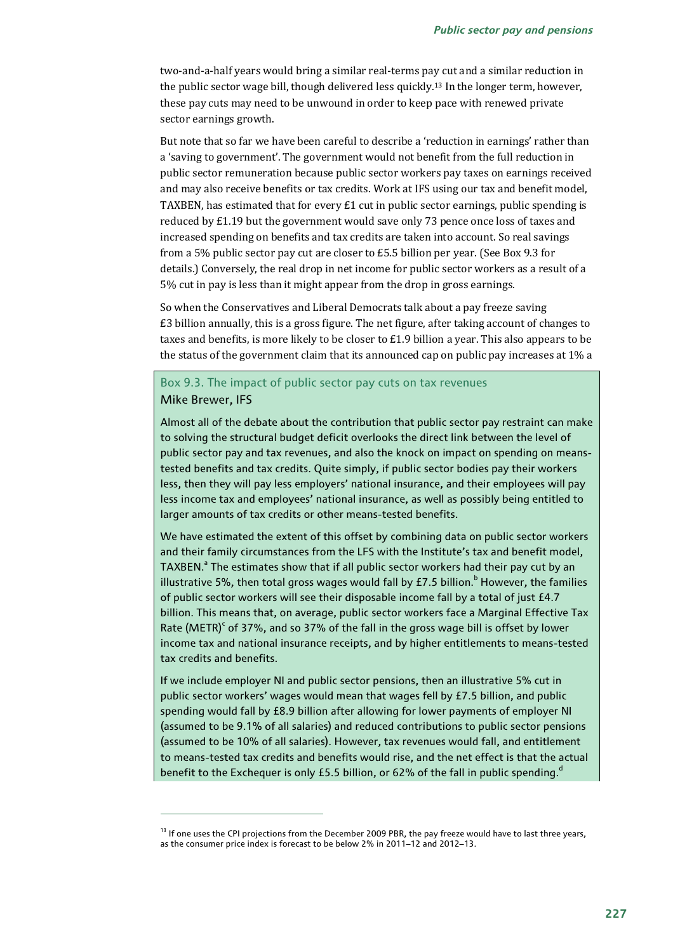two-and-a-half years would bring a similar real-terms pay cut and a similar reduction in the public sector wage bill, though delivered less quickly.13 In the longer term, however, these pay cuts may need to be unwound in order to keep pace with renewed private sector earnings growth.

But note that so far we have been careful to describe a 'reduction in earnings' rather than a 'saving to government'. The government would not benefit from the full reduction in public sector remuneration because public sector workers pay taxes on earnings received and may also receive benefits or tax credits. Work at IFS using our tax and benefit model, TAXBEN, has estimated that for every  $E1$  cut in public sector earnings, public spending is reduced by £1.19 but the government would save only 73 pence once loss of taxes and increased spending on benefits and tax credits are taken into account. So real savings from a 5% public sector pay cut are closer to £5.5 billion per year. (See Box 9.3 for details.) Conversely, the real drop in net income for public sector workers as a result of a 5% cut in pay is less than it might appear from the drop in gross earnings.

So when the Conservatives and Liberal Democrats talk about a pay freeze saving £3 billion annually, this is a gross figure. The net figure, after taking account of changes to taxes and benefits, is more likely to be closer to  $E1.9$  billion a year. This also appears to be the status of the government claim that its announced cap on public pay increases at 1% a

### Box 9.3. The impact of public sector pay cuts on tax revenues Mike Brewer, IFS

Almost all of the debate about the contribution that public sector pay restraint can make to solving the structural budget deficit overlooks the direct link between the level of public sector pay and tax revenues, and also the knock on impact on spending on meanstested benefits and tax credits. Quite simply, if public sector bodies pay their workers less, then they will pay less employers' national insurance, and their employees will pay less income tax and employees' national insurance, as well as possibly being entitled to larger amounts of tax credits or other means-tested benefits.

We have estimated the extent of this offset by combining data on public sector workers and their family circumstances from the LFS with the Institute's tax and benefit model, TAXBEN.<sup>a</sup> The estimates show that if all public sector workers had their pay cut by an illustrative 5%, then total gross wages would fall by £7.5 billion. $^{\rm b}$  However, the families of public sector workers will see their disposable income fall by a total of just £4.7 billion. This means that, on average, public sector workers face a Marginal Effective Tax Rate (METR) $\text{c}$  of 37%, and so 37% of the fall in the gross wage bill is offset by lower income tax and national insurance receipts, and by higher entitlements to means-tested tax credits and benefits.

If we include employer NI and public sector pensions, then an illustrative 5% cut in public sector workers' wages would mean that wages fell by £7.5 billion, and public spending would fall by £8.9 billion after allowing for lower payments of employer NI (assumed to be 9.1% of all salaries) and reduced contributions to public sector pensions (assumed to be 10% of all salaries). However, tax revenues would fall, and entitlement to means-tested tax credits and benefits would rise, and the net effect is that the actual benefit to the Exchequer is only £5.5 billion, or 62% of the fall in public spending.<sup>d</sup>

<sup>&</sup>lt;sup>13</sup> If one uses the CPI projections from the December 2009 PBR, the pay freeze would have to last three years, as the consumer price index is forecast to be below 2% in 2011–12 and 2012–13.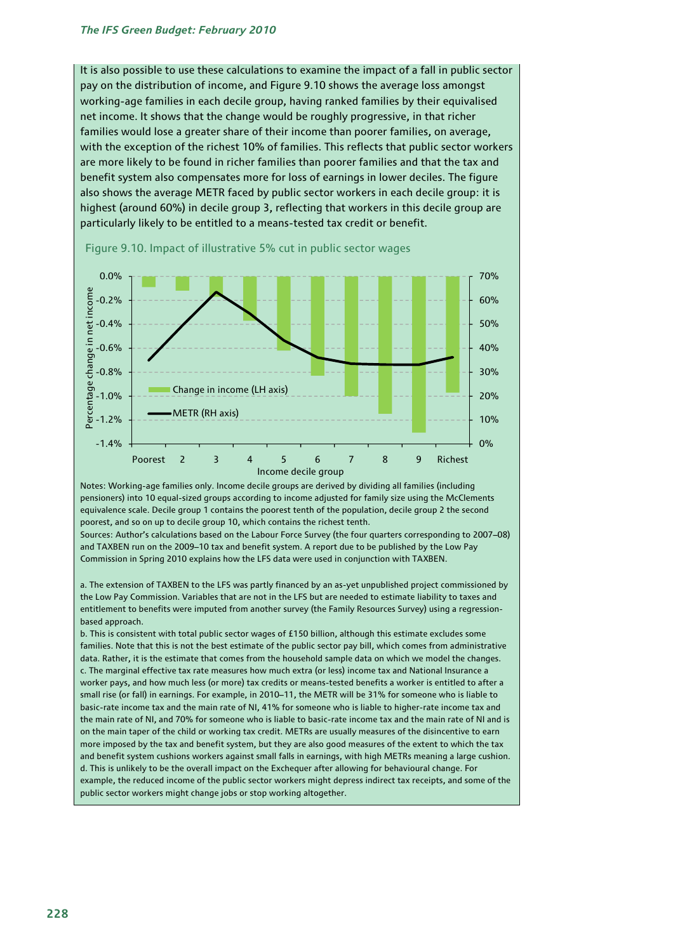It is also possible to use these calculations to examine the impact of a fall in public sector pay on the distribution of income, and Figure 9.10 shows the average loss amongst working-age families in each decile group, having ranked families by their equivalised net income. It shows that the change would be roughly progressive, in that richer families would lose a greater share of their income than poorer families, on average, with the exception of the richest 10% of families. This reflects that public sector workers are more likely to be found in richer families than poorer families and that the tax and benefit system also compensates more for loss of earnings in lower deciles. The figure also shows the average METR faced by public sector workers in each decile group: it is highest (around 60%) in decile group 3, reflecting that workers in this decile group are particularly likely to be entitled to a means-tested tax credit or benefit.





Notes: Working-age families only. Income decile groups are derived by dividing all families (including pensioners) into 10 equal-sized groups according to income adjusted for family size using the McClements equivalence scale. Decile group 1 contains the poorest tenth of the population, decile group 2 the second poorest, and so on up to decile group 10, which contains the richest tenth.

Sources: Author's calculations based on the Labour Force Survey (the four quarters corresponding to 2007–08) and TAXBEN run on the 2009–10 tax and benefit system. A report due to be published by the Low Pay Commission in Spring 2010 explains how the LFS data were used in conjunction with TAXBEN.

a. The extension of TAXBEN to the LFS was partly financed by an as-yet unpublished project commissioned by the Low Pay Commission. Variables that are not in the LFS but are needed to estimate liability to taxes and entitlement to benefits were imputed from another survey (the Family Resources Survey) using a regressionbased approach.

b. This is consistent with total public sector wages of £150 billion, although this estimate excludes some families. Note that this is not the best estimate of the public sector pay bill, which comes from administrative data. Rather, it is the estimate that comes from the household sample data on which we model the changes. c. The marginal effective tax rate measures how much extra (or less) income tax and National Insurance a worker pays, and how much less (or more) tax credits or means-tested benefits a worker is entitled to after a small rise (or fall) in earnings. For example, in 2010–11, the METR will be 31% for someone who is liable to basic-rate income tax and the main rate of NI, 41% for someone who is liable to higher-rate income tax and the main rate of NI, and 70% for someone who is liable to basic-rate income tax and the main rate of NI and is on the main taper of the child or working tax credit. METRs are usually measures of the disincentive to earn more imposed by the tax and benefit system, but they are also good measures of the extent to which the tax and benefit system cushions workers against small falls in earnings, with high METRs meaning a large cushion. d. This is unlikely to be the overall impact on the Exchequer after allowing for behavioural change. For example, the reduced income of the public sector workers might depress indirect tax receipts, and some of the public sector workers might change jobs or stop working altogether.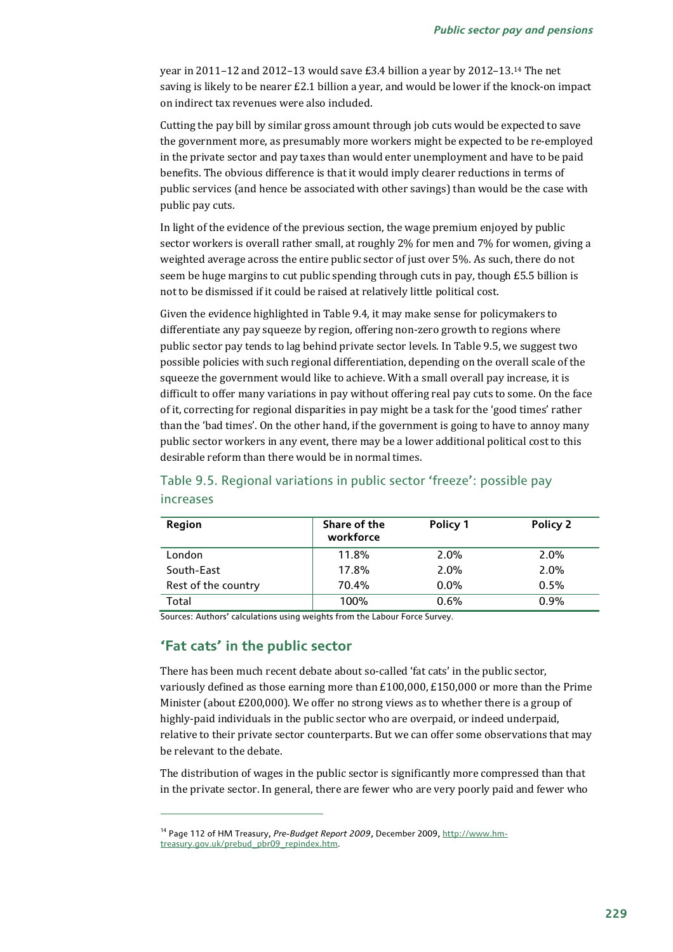year in 2011–12 and 2012–13 would save £3.4 billion a year by 2012–13.14 The net saving is likely to be nearer £2.1 billion a year, and would be lower if the knock-on impact on indirect tax revenues were also included.

Cutting the pay bill by similar gross amount through job cuts would be expected to save the government more, as presumably more workers might be expected to be re-employed in the private sector and pay taxes than would enter unemployment and have to be paid benefits. The obvious difference is that it would imply clearer reductions in terms of public services (and hence be associated with other savings) than would be the case with public pay cuts.

In light of the evidence of the previous section, the wage premium enjoyed by public sector workers is overall rather small, at roughly 2% for men and 7% for women, giving a weighted average across the entire public sector of just over 5%. As such, there do not seem be huge margins to cut public spending through cuts in pay, though £5.5 billion is not to be dismissed if it could be raised at relatively little political cost.

Given the evidence highlighted in Table 9.4, it may make sense for policymakers to differentiate any pay squeeze by region, offering non-zero growth to regions where public sector pay tends to lag behind private sector levels. In Table 9.5, we suggest two possible policies with such regional differentiation, depending on the overall scale of the squeeze the government would like to achieve. With a small overall pay increase, it is difficult to offer many variations in pay without offering real pay cuts to some. On the face of it, correcting for regional disparities in pay might be a task for the 'good times' rather than the 'bad times'. On the other hand, if the government is going to have to annoy many public sector workers in any event, there may be a lower additional political cost to this desirable reform than there would be in normal times.

| <b>Region</b>       | Share of the<br>workforce | Policy 1 | Policy 2 |
|---------------------|---------------------------|----------|----------|
| London              | 11.8%                     | 2.0%     | 2.0%     |
| South-East          | 17.8%                     | 2.0%     | 2.0%     |
| Rest of the country | 70.4%                     | $0.0\%$  | 0.5%     |
| Total               | 100%                      | 0.6%     | 0.9%     |

Table 9.5. Regional variations in public sector 'freeze': possible pay

#### increases

 $\overline{a}$ 

Sources: Authors' calculations using weights from the Labour Force Survey.

### **'Fat cats' in the public sector**

There has been much recent debate about so-called 'fat cats' in the public sector, variously defined as those earning more than £100,000, £150,000 or more than the Prime Minister (about £200,000). We offer no strong views as to whether there is a group of highly-paid individuals in the public sector who are overpaid, or indeed underpaid, relative to their private sector counterparts. But we can offer some observations that may be relevant to the debate.

The distribution of wages in the public sector is significantly more compressed than that in the private sector. In general, there are fewer who are very poorly paid and fewer who

<sup>&</sup>lt;sup>14</sup> Page 112 of HM Treasury, Pre-Budget Report 2009, December 2009, http://www.hmtreasury.gov.uk/prebud\_pbr09\_repindex.htm.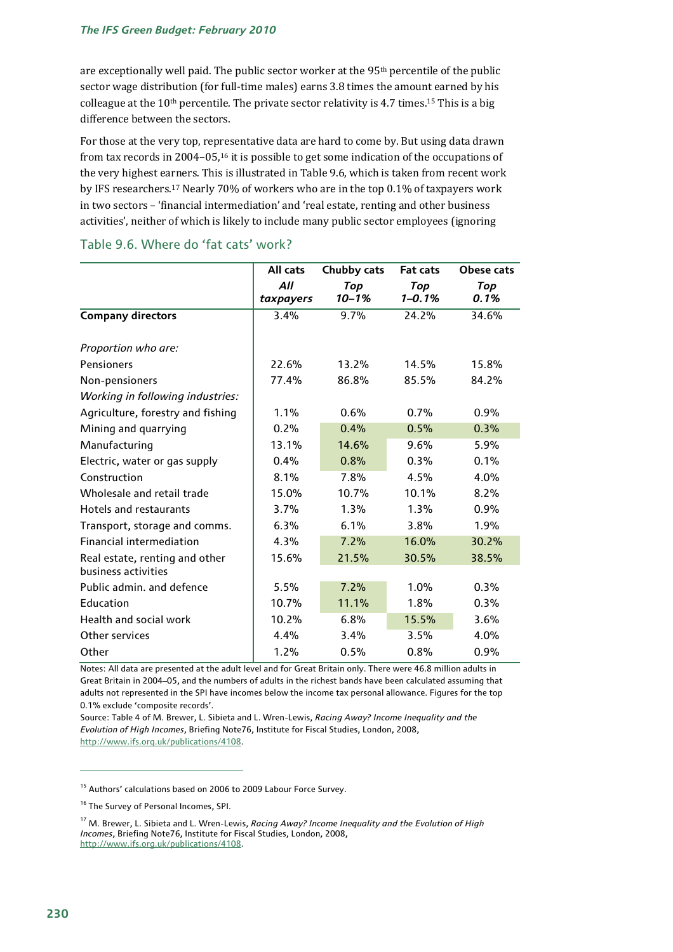### *The IFS Green Budget: February 2010*

are exceptionally well paid. The public sector worker at the 95th percentile of the public sector wage distribution (for full-time males) earns 3.8 times the amount earned by his colleague at the  $10<sup>th</sup>$  percentile. The private sector relativity is 4.7 times.<sup>15</sup> This is a big difference between the sectors.

For those at the very top, representative data are hard to come by. But using data drawn from tax records in 2004–05,16 it is possible to get some indication of the occupations of the very highest earners. This is illustrated in Table 9.6, which is taken from recent work by IFS researchers.17 Nearly 70% of workers who are in the top 0.1% of taxpayers work in two sectors – 'financial intermediation' and 'real estate, renting and other business activities', neither of which is likely to include many public sector employees (ignoring

|                                   | All cats         | Chubby cats      | <b>Fat cats</b>   | <b>Obese cats</b> |
|-----------------------------------|------------------|------------------|-------------------|-------------------|
|                                   | All<br>taxpayers | Top<br>$10 - 1%$ | Top<br>$1 - 0.1%$ | Top<br>0.1%       |
| <b>Company directors</b>          | 3.4%             | 9.7%             | 24.2%             | 34.6%             |
| Proportion who are:               |                  |                  |                   |                   |
| Pensioners                        | 22.6%            | 13.2%            | 14.5%             | 15.8%             |
| Non-pensioners                    | 77.4%            | 86.8%            | 85.5%             | 84.2%             |
| Working in following industries:  |                  |                  |                   |                   |
| Agriculture, forestry and fishing | 1.1%             | 0.6%             | 0.7%              | 0.9%              |
| Mining and quarrying              | 0.2%             | 0.4%             | 0.5%              | 0.3%              |
| Manufacturing                     | 13.1%            | 14.6%            | 9.6%              | 5.9%              |
| Electric, water or gas supply     | 0.4%             | 0.8%             | 0.3%              | 0.1%              |
| Construction                      | 8.1%             | 7.8%             | 4.5%              | 4.0%              |
| Wholesale and retail trade        | 15.0%            | 10.7%            | 10.1%             | 8.2%              |
| Hotels and restaurants            | 3.7%             | 1.3%             | 1.3%              | 0.9%              |
| Transport, storage and comms.     | 6.3%             | 6.1%             | 3.8%              | 1.9%              |
| <b>Financial intermediation</b>   | 4.3%             | 7.2%             | 16.0%             | 30.2%             |
| Real estate, renting and other    | 15.6%            | 21.5%            | 30.5%             | 38.5%             |
| business activities               |                  |                  |                   |                   |
| Public admin, and defence         | 5.5%             | 7.2%             | 1.0%              | 0.3%              |
| Education                         | 10.7%            | 11.1%            | 1.8%              | 0.3%              |
| Health and social work            | 10.2%            | 6.8%             | 15.5%             | 3.6%              |
| Other services                    | 4.4%             | 3.4%             | 3.5%              | 4.0%              |
| Other                             | 1.2%             | 0.5%             | 0.8%              | 0.9%              |

#### Table 9.6. Where do 'fat cats' work?

Notes: All data are presented at the adult level and for Great Britain only. There were 46.8 million adults in Great Britain in 2004–05, and the numbers of adults in the richest bands have been calculated assuming that adults not represented in the SPI have incomes below the income tax personal allowance. Figures for the top 0.1% exclude 'composite records'.

Source: Table 4 of M. Brewer, L. Sibieta and L. Wren-Lewis, *Racing Away? Income Inequality and the Evolution of High Incomes*, Briefing Note76, Institute for Fiscal Studies, London, 2008, http://www.ifs.org.uk/publications/4108.

<sup>&</sup>lt;sup>15</sup> Authors' calculations based on 2006 to 2009 Labour Force Survey.

<sup>&</sup>lt;sup>16</sup> The Survey of Personal Incomes, SPI.

<sup>17</sup> M. Brewer, L. Sibieta and L. Wren-Lewis, *Racing Away? Income Inequality and the Evolution of High Incomes*, Briefing Note76, Institute for Fiscal Studies, London, 2008, http://www.ifs.org.uk/publications/4108.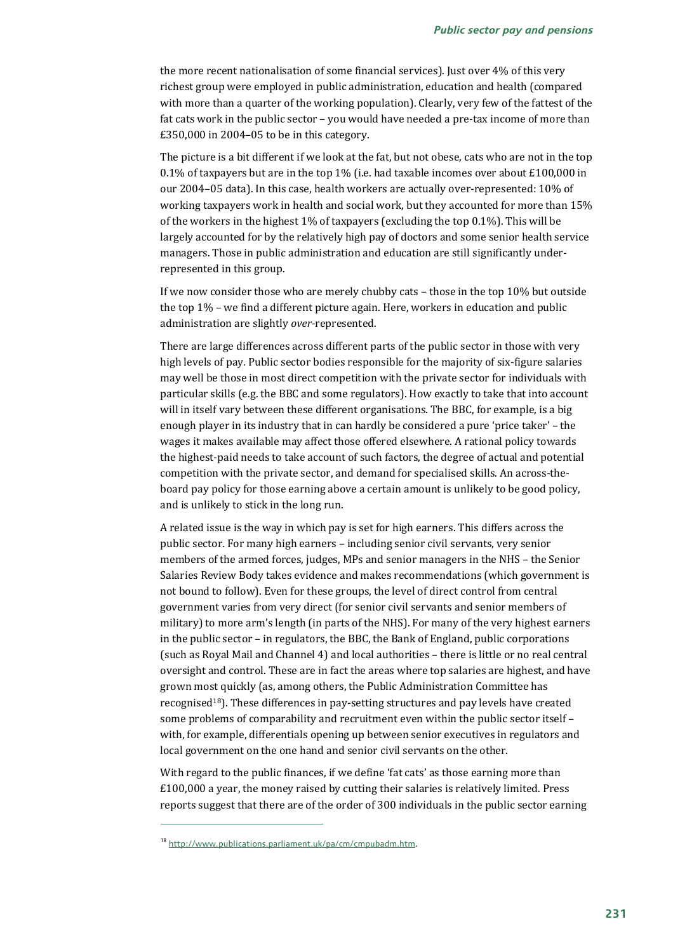the more recent nationalisation of some financial services). Just over 4% of this very richest group were employed in public administration, education and health (compared with more than a quarter of the working population). Clearly, very few of the fattest of the fat cats work in the public sector – you would have needed a pre-tax income of more than £350,000 in 2004–05 to be in this category.

The picture is a bit different if we look at the fat, but not obese, cats who are not in the top 0.1% of taxpayers but are in the top 1% (i.e. had taxable incomes over about £100,000 in our 2004–05 data). In this case, health workers are actually over-represented: 10% of working taxpayers work in health and social work, but they accounted for more than 15% of the workers in the highest 1% of taxpayers (excluding the top 0.1%). This will be largely accounted for by the relatively high pay of doctors and some senior health service managers. Those in public administration and education are still significantly underrepresented in this group.

If we now consider those who are merely chubby cats – those in the top 10% but outside the top 1% – we find a different picture again. Here, workers in education and public administration are slightly *over-*represented.

There are large differences across different parts of the public sector in those with very high levels of pay. Public sector bodies responsible for the majority of six-figure salaries may well be those in most direct competition with the private sector for individuals with particular skills (e.g. the BBC and some regulators). How exactly to take that into account will in itself vary between these different organisations. The BBC, for example, is a big enough player in its industry that in can hardly be considered a pure 'price taker' – the wages it makes available may affect those offered elsewhere. A rational policy towards the highest-paid needs to take account of such factors, the degree of actual and potential competition with the private sector, and demand for specialised skills. An across-theboard pay policy for those earning above a certain amount is unlikely to be good policy, and is unlikely to stick in the long run.

A related issue is the way in which pay is set for high earners. This differs across the public sector. For many high earners – including senior civil servants, very senior members of the armed forces, judges, MPs and senior managers in the NHS – the Senior Salaries Review Body takes evidence and makes recommendations (which government is not bound to follow). Even for these groups, the level of direct control from central government varies from very direct (for senior civil servants and senior members of military) to more arm's length (in parts of the NHS). For many of the very highest earners in the public sector – in regulators, the BBC, the Bank of England, public corporations (such as Royal Mail and Channel 4) and local authorities – there is little or no real central oversight and control. These are in fact the areas where top salaries are highest, and have grown most quickly (as, among others, the Public Administration Committee has recognised18). These differences in pay-setting structures and pay levels have created some problems of comparability and recruitment even within the public sector itself – with, for example, differentials opening up between senior executives in regulators and local government on the one hand and senior civil servants on the other.

With regard to the public finances, if we define 'fat cats' as those earning more than £100,000 a year, the money raised by cutting their salaries is relatively limited. Press reports suggest that there are of the order of 300 individuals in the public sector earning

<sup>18</sup> http://www.publications.parliament.uk/pa/cm/cmpubadm.htm.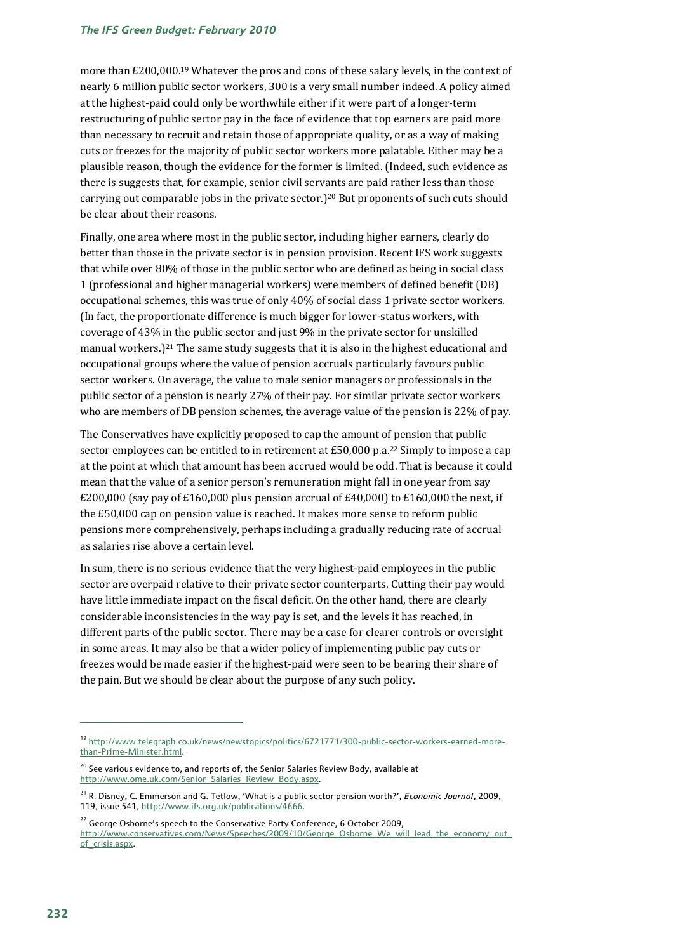more than £200,000.19 Whatever the pros and cons of these salary levels, in the context of nearly 6 million public sector workers, 300 is a very small number indeed. A policy aimed at the highest-paid could only be worthwhile either if it were part of a longer-term restructuring of public sector pay in the face of evidence that top earners are paid more than necessary to recruit and retain those of appropriate quality, or as a way of making cuts or freezes for the majority of public sector workers more palatable. Either may be a plausible reason, though the evidence for the former is limited. (Indeed, such evidence as there is suggests that, for example, senior civil servants are paid rather less than those carrying out comparable jobs in the private sector.)<sup>20</sup> But proponents of such cuts should be clear about their reasons.

Finally, one area where most in the public sector, including higher earners, clearly do better than those in the private sector is in pension provision. Recent IFS work suggests that while over 80% of those in the public sector who are defined as being in social class 1 (professional and higher managerial workers) were members of defined benefit (DB) occupational schemes, this was true of only 40% of social class 1 private sector workers. (In fact, the proportionate difference is much bigger for lower-status workers, with coverage of 43% in the public sector and just 9% in the private sector for unskilled manual workers.)<sup>21</sup> The same study suggests that it is also in the highest educational and occupational groups where the value of pension accruals particularly favours public sector workers. On average, the value to male senior managers or professionals in the public sector of a pension is nearly 27% of their pay. For similar private sector workers who are members of DB pension schemes, the average value of the pension is 22% of pay.

The Conservatives have explicitly proposed to cap the amount of pension that public sector employees can be entitled to in retirement at  $E$ 50,000 p.a.<sup>22</sup> Simply to impose a cap at the point at which that amount has been accrued would be odd. That is because it could mean that the value of a senior person's remuneration might fall in one year from say  $£200,000$  (say pay of  $£160,000$  plus pension accrual of  $£40,000$  to  $£160,000$  the next, if the £50,000 cap on pension value is reached. It makes more sense to reform public pensions more comprehensively, perhaps including a gradually reducing rate of accrual as salaries rise above a certain level.

In sum, there is no serious evidence that the very highest-paid employees in the public sector are overpaid relative to their private sector counterparts. Cutting their pay would have little immediate impact on the fiscal deficit. On the other hand, there are clearly considerable inconsistencies in the way pay is set, and the levels it has reached, in different parts of the public sector. There may be a case for clearer controls or oversight in some areas. It may also be that a wider policy of implementing public pay cuts or freezes would be made easier if the highest-paid were seen to be bearing their share of the pain. But we should be clear about the purpose of any such policy.

<sup>19</sup> http://www.telegraph.co.uk/news/newstopics/politics/6721771/300-public-sector-workers-earned-morethan-Prime-Minister.html.

<sup>&</sup>lt;sup>20</sup> See various evidence to, and reports of, the Senior Salaries Review Body, available at http://www.ome.uk.com/Senior\_Salaries\_Review\_Body.aspx

<sup>21</sup> R. Disney, C. Emmerson and G. Tetlow, 'What is a public sector pension worth?', *Economic Journal*, 2009, 119, issue 541, http://www.ifs.org.uk/publications/4666.

 $22$  George Osborne's speech to the Conservative Party Conference, 6 October 2009, http://www.conservatives.com/News/Speeches/2009/10/George\_Osborne\_We\_will\_lead\_the\_economy\_out\_ of crisis.aspx.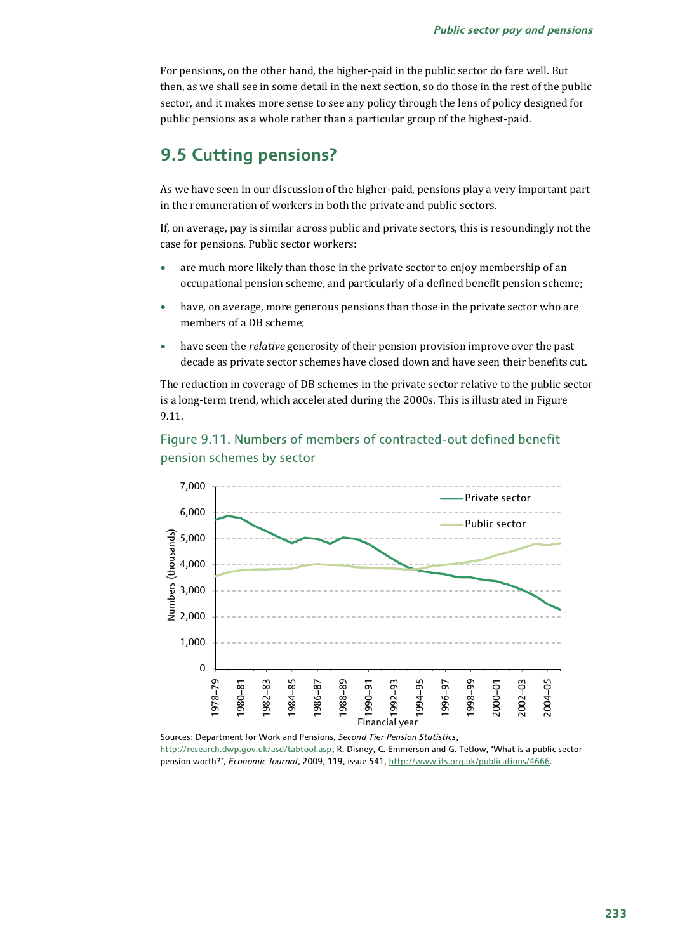For pensions, on the other hand, the higher-paid in the public sector do fare well. But then, as we shall see in some detail in the next section, so do those in the rest of the public sector, and it makes more sense to see any policy through the lens of policy designed for public pensions as a whole rather than a particular group of the highest-paid.

## **9.5 Cutting pensions?**

As we have seen in our discussion of the higher-paid, pensions play a very important part in the remuneration of workers in both the private and public sectors.

If, on average, pay is similar across public and private sectors, this is resoundingly not the case for pensions. Public sector workers:

- are much more likely than those in the private sector to enjoy membership of an occupational pension scheme, and particularly of a defined benefit pension scheme;
- have, on average, more generous pensions than those in the private sector who are members of a DB scheme;
- have seen the *relative* generosity of their pension provision improve over the past decade as private sector schemes have closed down and have seen their benefits cut.

The reduction in coverage of DB schemes in the private sector relative to the public sector is a long-term trend, which accelerated during the 2000s. This is illustrated in Figure 9.11.



## Figure 9.11. Numbers of members of contracted-out defined benefit pension schemes by sector

Sources: Department for Work and Pensions, *Second Tier Pension Statistics*, http://research.dwp.gov.uk/asd/tabtool.asp; R. Disney, C. Emmerson and G. Tetlow, 'What is a public sector pension worth?', *Economic Journal*, 2009, 119, issue 541, http://www.ifs.org.uk/publications/4666.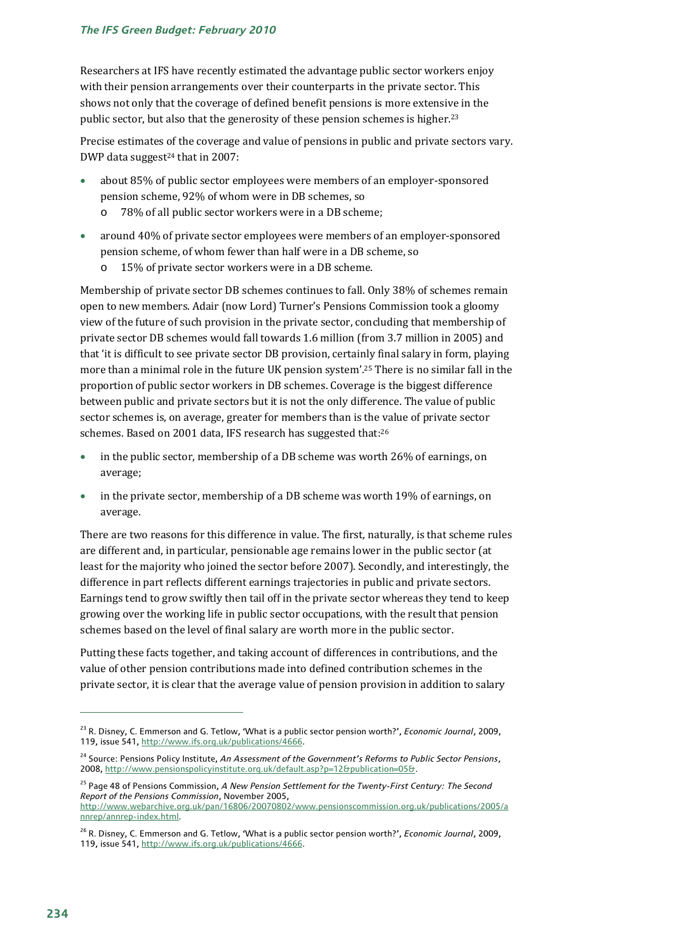Researchers at IFS have recently estimated the advantage public sector workers enjoy with their pension arrangements over their counterparts in the private sector. This shows not only that the coverage of defined benefit pensions is more extensive in the public sector, but also that the generosity of these pension schemes is higher.23

Precise estimates of the coverage and value of pensions in public and private sectors vary. DWP data suggest $24$  that in 2007:

- about 85% of public sector employees were members of an employer-sponsored pension scheme, 92% of whom were in DB schemes, so
	- o 78% of all public sector workers were in a DB scheme;
- around 40% of private sector employees were members of an employer-sponsored pension scheme, of whom fewer than half were in a DB scheme, so
	- o 15% of private sector workers were in a DB scheme.

Membership of private sector DB schemes continues to fall. Only 38% of schemes remain open to new members. Adair (now Lord) Turner's Pensions Commission took a gloomy view of the future of such provision in the private sector, concluding that membership of private sector DB schemes would fall towards 1.6 million (from 3.7 million in 2005) and that 'it is difficult to see private sector DB provision, certainly final salary in form, playing more than a minimal role in the future UK pension system'.25 There is no similar fall in the proportion of public sector workers in DB schemes. Coverage is the biggest difference between public and private sectors but it is not the only difference. The value of public sector schemes is, on average, greater for members than is the value of private sector schemes. Based on 2001 data, IFS research has suggested that:26

- in the public sector, membership of a DB scheme was worth 26% of earnings, on average;
- in the private sector, membership of a DB scheme was worth 19% of earnings, on average.

There are two reasons for this difference in value. The first, naturally, is that scheme rules are different and, in particular, pensionable age remains lower in the public sector (at least for the majority who joined the sector before 2007). Secondly, and interestingly, the difference in part reflects different earnings trajectories in public and private sectors. Earnings tend to grow swiftly then tail off in the private sector whereas they tend to keep growing over the working life in public sector occupations, with the result that pension schemes based on the level of final salary are worth more in the public sector.

Putting these facts together, and taking account of differences in contributions, and the value of other pension contributions made into defined contribution schemes in the private sector, it is clear that the average value of pension provision in addition to salary

<sup>23</sup> R. Disney, C. Emmerson and G. Tetlow, 'What is a public sector pension worth?', *Economic Journal*, 2009, 119, issue 541, http://www.ifs.org.uk/publications/4666.

<sup>24</sup> Source: Pensions Policy Institute, *An Assessment of the Government's Reforms to Public Sector Pensions*, 2008, http://www.pensionspolicyinstitute.org.uk/default.asp?p=12&publication=05&.

<sup>25</sup> Page 48 of Pensions Commission, *A New Pension Settlement for the Twenty-First Century: The Second Report of the Pensions Commission*, November 2005,

http://www.webarchive.org.uk/pan/16806/20070802/www.pensionscommission.org.uk/publications/2005/a nnrep/annrep-index.html.

<sup>26</sup> R. Disney, C. Emmerson and G. Tetlow, 'What is a public sector pension worth?', *Economic Journal*, 2009, 119, issue 541, http://www.ifs.org.uk/publications/4666.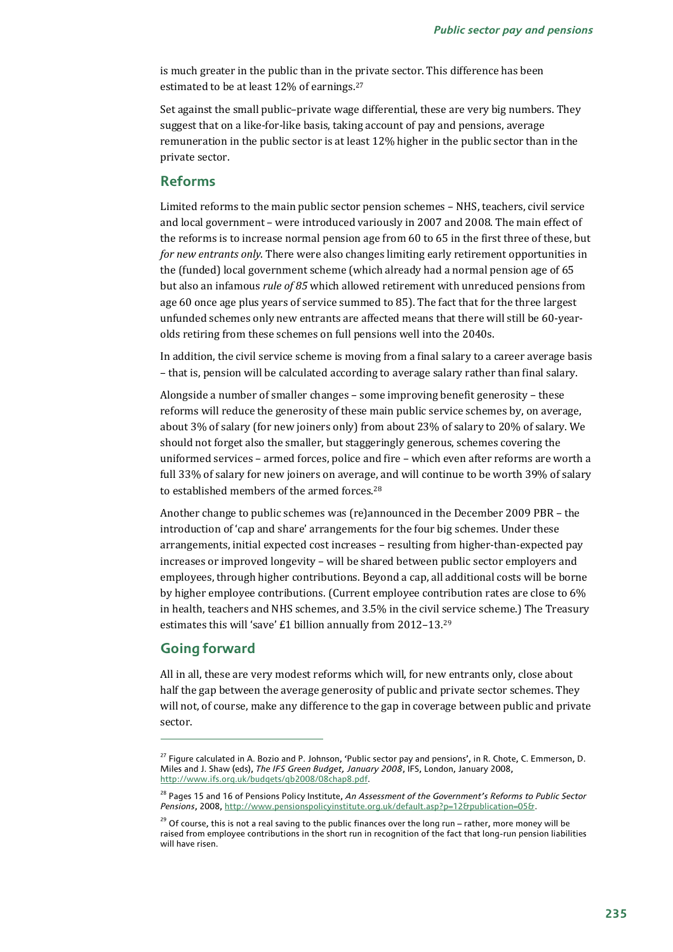is much greater in the public than in the private sector. This difference has been estimated to be at least 12% of earnings.27

Set against the small public–private wage differential, these are very big numbers. They suggest that on a like-for-like basis, taking account of pay and pensions, average remuneration in the public sector is at least 12% higher in the public sector than in the private sector.

## **Reforms**

Limited reforms to the main public sector pension schemes – NHS, teachers, civil service and local government – were introduced variously in 2007 and 2008. The main effect of the reforms is to increase normal pension age from 60 to 65 in the first three of these, but *for new entrants only*. There were also changes limiting early retirement opportunities in the (funded) local government scheme (which already had a normal pension age of 65 but also an infamous *rule of 85* which allowed retirement with unreduced pensions from age 60 once age plus years of service summed to 85). The fact that for the three largest unfunded schemes only new entrants are affected means that there will still be 60-yearolds retiring from these schemes on full pensions well into the 2040s.

In addition, the civil service scheme is moving from a final salary to a career average basis – that is, pension will be calculated according to average salary rather than final salary.

Alongside a number of smaller changes – some improving benefit generosity – these reforms will reduce the generosity of these main public service schemes by, on average, about 3% of salary (for new joiners only) from about 23% of salary to 20% of salary. We should not forget also the smaller, but staggeringly generous, schemes covering the uniformed services – armed forces, police and fire – which even after reforms are worth a full 33% of salary for new joiners on average, and will continue to be worth 39% of salary to established members of the armed forces.28

Another change to public schemes was (re)announced in the December 2009 PBR – the introduction of 'cap and share' arrangements for the four big schemes. Under these arrangements, initial expected cost increases – resulting from higher-than-expected pay increases or improved longevity – will be shared between public sector employers and employees, through higher contributions. Beyond a cap, all additional costs will be borne by higher employee contributions. (Current employee contribution rates are close to 6% in health, teachers and NHS schemes, and 3.5% in the civil service scheme.) The Treasury estimates this will 'save' £1 billion annually from 2012–13.29

## **Going forward**

 $\overline{a}$ 

All in all, these are very modest reforms which will, for new entrants only, close about half the gap between the average generosity of public and private sector schemes. They will not, of course, make any difference to the gap in coverage between public and private sector.

<sup>&</sup>lt;sup>27</sup> Figure calculated in A. Bozio and P. Johnson, 'Public sector pay and pensions', in R. Chote, C. Emmerson, D. Miles and J. Shaw (eds), *The IFS Green Budget, January 2008*, IFS, London, January 2008, http://www.ifs.org.uk/budgets/gb2008/08chap8.pdf.

<sup>&</sup>lt;sup>28</sup> Pages 15 and 16 of Pensions Policy Institute, An Assessment of the Government's Reforms to Public Sector *Pensions*, 2008, http://www.pensionspolicyinstitute.org.uk/default.asp?p=12&publication=05&.

 $29$  Of course, this is not a real saving to the public finances over the long run – rather, more money will be raised from employee contributions in the short run in recognition of the fact that long-run pension liabilities will have risen.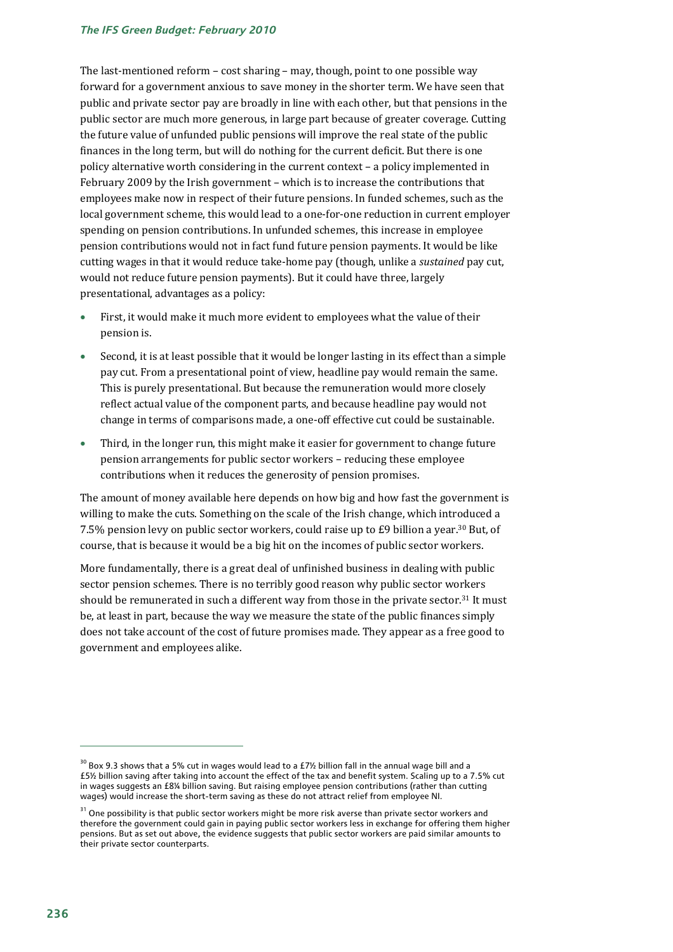#### *The IFS Green Budget: February 2010*

The last-mentioned reform – cost sharing – may, though, point to one possible way forward for a government anxious to save money in the shorter term. We have seen that public and private sector pay are broadly in line with each other, but that pensions in the public sector are much more generous, in large part because of greater coverage. Cutting the future value of unfunded public pensions will improve the real state of the public finances in the long term, but will do nothing for the current deficit. But there is one policy alternative worth considering in the current context – a policy implemented in February 2009 by the Irish government – which is to increase the contributions that employees make now in respect of their future pensions. In funded schemes, such as the local government scheme, this would lead to a one-for-one reduction in current employer spending on pension contributions. In unfunded schemes, this increase in employee pension contributions would not in fact fund future pension payments. It would be like cutting wages in that it would reduce take-home pay (though, unlike a *sustained* pay cut, would not reduce future pension payments). But it could have three, largely presentational, advantages as a policy:

- First, it would make it much more evident to employees what the value of their pension is.
- Second, it is at least possible that it would be longer lasting in its effect than a simple pay cut. From a presentational point of view, headline pay would remain the same. This is purely presentational. But because the remuneration would more closely reflect actual value of the component parts, and because headline pay would not change in terms of comparisons made, a one-off effective cut could be sustainable.
- Third, in the longer run, this might make it easier for government to change future pension arrangements for public sector workers – reducing these employee contributions when it reduces the generosity of pension promises.

The amount of money available here depends on how big and how fast the government is willing to make the cuts. Something on the scale of the Irish change, which introduced a 7.5% pension levy on public sector workers, could raise up to £9 billion a year.30 But, of course, that is because it would be a big hit on the incomes of public sector workers.

More fundamentally, there is a great deal of unfinished business in dealing with public sector pension schemes. There is no terribly good reason why public sector workers should be remunerated in such a different way from those in the private sector.31 It must be, at least in part, because the way we measure the state of the public finances simply does not take account of the cost of future promises made. They appear as a free good to government and employees alike.

 $30$  Box 9.3 shows that a 5% cut in wages would lead to a £7% billion fall in the annual wage bill and a £5½ billion saving after taking into account the effect of the tax and benefit system. Scaling up to a 7.5% cut in wages suggests an £8¼ billion saving. But raising employee pension contributions (rather than cutting wages) would increase the short-term saving as these do not attract relief from employee NI.

 $31$  One possibility is that public sector workers might be more risk averse than private sector workers and therefore the government could gain in paying public sector workers less in exchange for offering them higher pensions. But as set out above, the evidence suggests that public sector workers are paid similar amounts to their private sector counterparts.